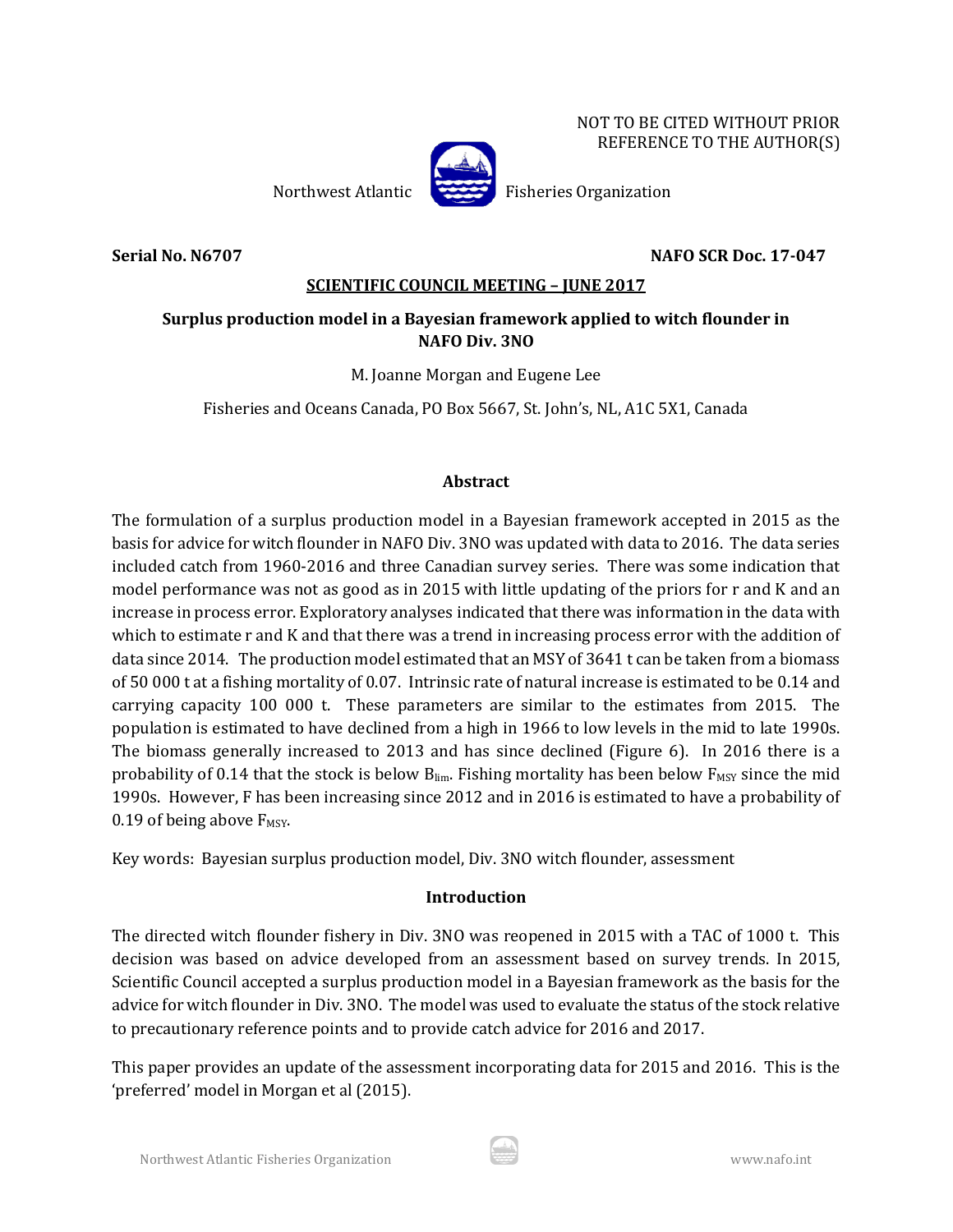NOT TO BE CITED WITHOUT PRIOR REFERENCE TO THE AUTHOR(S)

Northwest Atlantic Fisheries Organization

**Serial No. N6707 NAFO SCR Doc. 17-047**

### **SCIENTIFIC COUNCIL MEETING – JUNE 2017**

## **Surplus production model in a Bayesian framework applied to witch flounder in NAFO Div. 3NO**

M. Joanne Morgan and Eugene Lee

Fisheries and Oceans Canada, PO Box 5667, St. John's, NL, A1C 5X1, Canada

### **Abstract**

The formulation of a surplus production model in a Bayesian framework accepted in 2015 as the basis for advice for witch flounder in NAFO Div. 3NO was updated with data to 2016. The data series included catch from 1960-2016 and three Canadian survey series. There was some indication that model performance was not as good as in 2015 with little updating of the priors for r and K and an increase in process error. Exploratory analyses indicated that there was information in the data with which to estimate r and K and that there was a trend in increasing process error with the addition of data since 2014. The production model estimated that an MSY of 3641 t can be taken from a biomass of 50 000 t at a fishing mortality of 0.07. Intrinsic rate of natural increase is estimated to be 0.14 and carrying capacity 100 000 t. These parameters are similar to the estimates from 2015. The population is estimated to have declined from a high in 1966 to low levels in the mid to late 1990s. The biomass generally increased to 2013 and has since declined (Figure 6). In 2016 there is a probability of 0.14 that the stock is below  $B_{\text{lim}}$ . Fishing mortality has been below  $F_{\text{MSY}}$  since the mid 1990s. However, F has been increasing since 2012 and in 2016 is estimated to have a probability of 0.19 of being above  $F_{MSY}$ .

Key words: Bayesian surplus production model, Div. 3NO witch flounder, assessment

## **Introduction**

The directed witch flounder fishery in Div. 3NO was reopened in 2015 with a TAC of 1000 t. This decision was based on advice developed from an assessment based on survey trends. In 2015, Scientific Council accepted a surplus production model in a Bayesian framework as the basis for the advice for witch flounder in Div. 3NO. The model was used to evaluate the status of the stock relative to precautionary reference points and to provide catch advice for 2016 and 2017.

This paper provides an update of the assessment incorporating data for 2015 and 2016. This is the 'preferred' model in Morgan et al (2015).

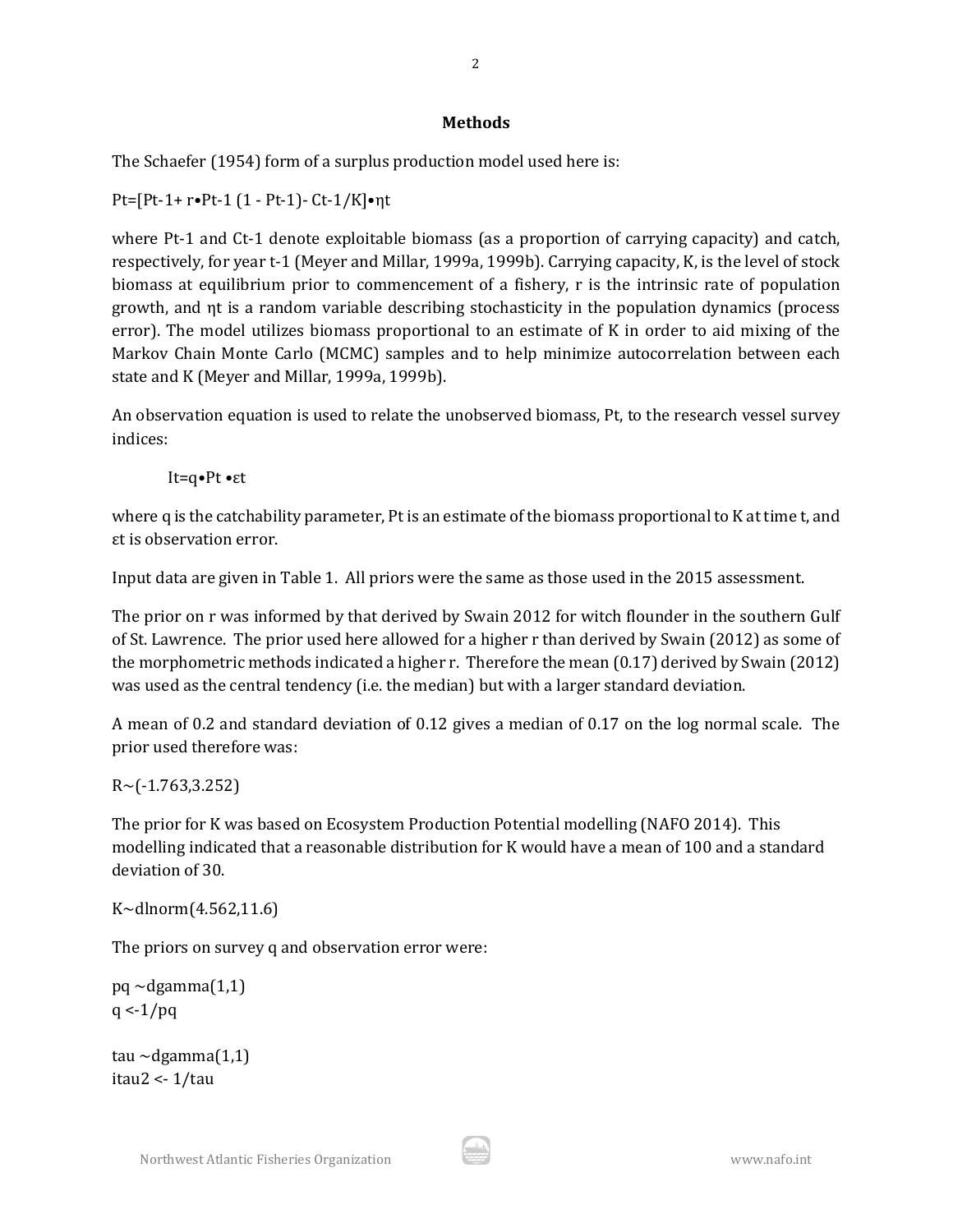### **Methods**

The Schaefer (1954) form of a surplus production model used here is:

Pt=[Pt-1+ r•Pt-1 (1 - Pt-1)- Ct-1/K]•ηt

where Pt-1 and Ct-1 denote exploitable biomass (as a proportion of carrying capacity) and catch, respectively, for year t-1 (Meyer and Millar, 1999a, 1999b). Carrying capacity, K, is the level of stock biomass at equilibrium prior to commencement of a fishery, r is the intrinsic rate of population growth, and ηt is a random variable describing stochasticity in the population dynamics (process error). The model utilizes biomass proportional to an estimate of K in order to aid mixing of the Markov Chain Monte Carlo (MCMC) samples and to help minimize autocorrelation between each state and K (Meyer and Millar, 1999a, 1999b).

An observation equation is used to relate the unobserved biomass, Pt, to the research vessel survey indices:

It=q•Pt •εt

where q is the catchability parameter, Pt is an estimate of the biomass proportional to K at time t, and εt is observation error.

Input data are given in Table 1. All priors were the same as those used in the 2015 assessment.

The prior on r was informed by that derived by Swain 2012 for witch flounder in the southern Gulf of St. Lawrence. The prior used here allowed for a higher r than derived by Swain (2012) as some of the morphometric methods indicated a higher r. Therefore the mean (0.17) derived by Swain (2012) was used as the central tendency (i.e. the median) but with a larger standard deviation.

A mean of 0.2 and standard deviation of 0.12 gives a median of 0.17 on the log normal scale. The prior used therefore was:

 $R \sim (-1.763, 3.252)$ 

The prior for K was based on Ecosystem Production Potential modelling (NAFO 2014). This modelling indicated that a reasonable distribution for K would have a mean of 100 and a standard deviation of 30.

```
K~dlnorm(4.562,11.6)
```
The priors on survey q and observation error were:

 $pq \sim$ dgamma $(1,1)$  $q < -1/pq$ 

tau  $\sim$ dgamma $(1,1)$ itau2 <- 1/tau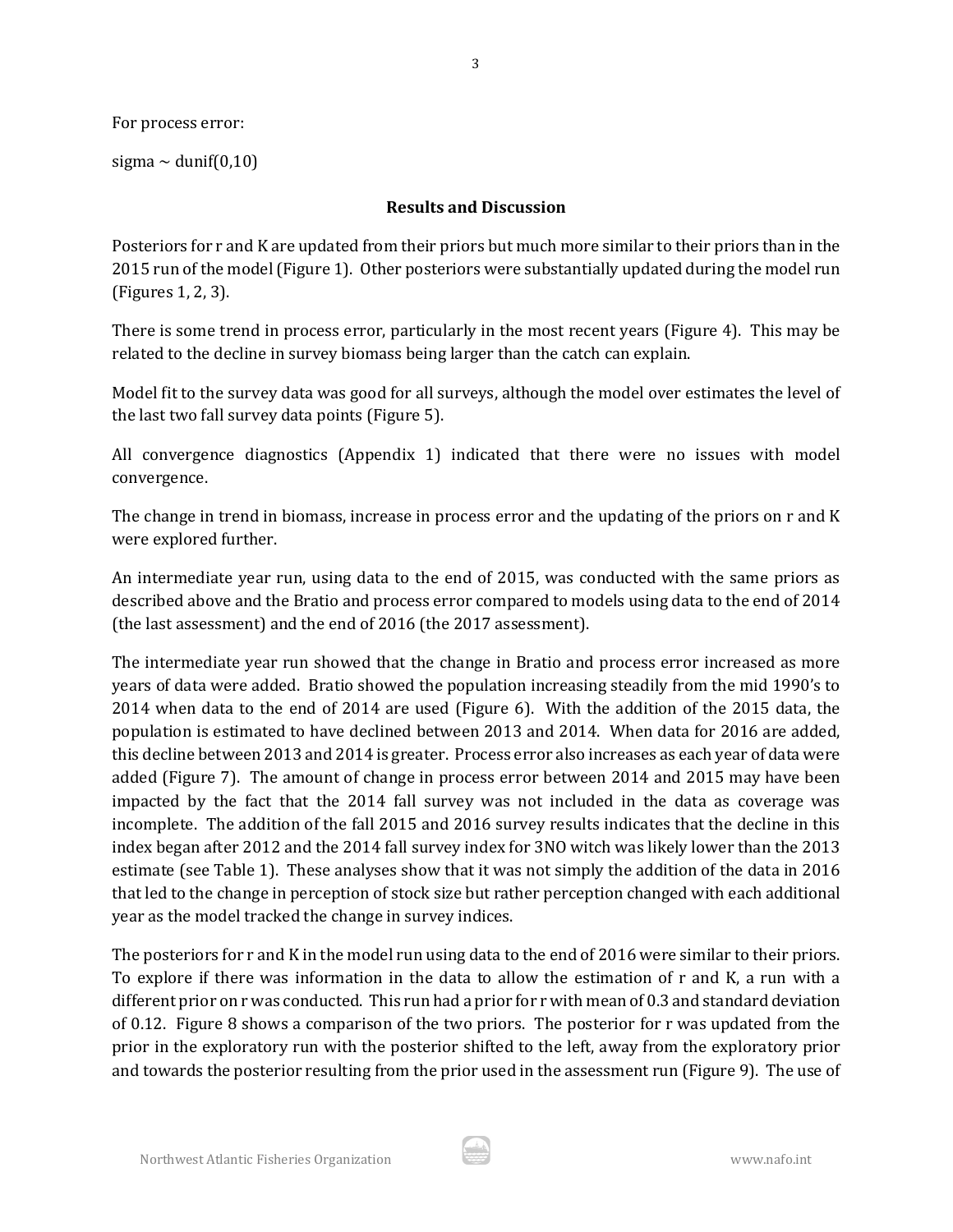For process error:

sigma  $\sim$  dunif(0,10)

### **Results and Discussion**

3

Posteriors for r and K are updated from their priors but much more similar to their priors than in the 2015 run of the model (Figure 1). Other posteriors were substantially updated during the model run (Figures 1, 2, 3).

There is some trend in process error, particularly in the most recent years (Figure 4). This may be related to the decline in survey biomass being larger than the catch can explain.

Model fit to the survey data was good for all surveys, although the model over estimates the level of the last two fall survey data points (Figure 5).

All convergence diagnostics (Appendix 1) indicated that there were no issues with model convergence.

The change in trend in biomass, increase in process error and the updating of the priors on r and K were explored further.

An intermediate year run, using data to the end of 2015, was conducted with the same priors as described above and the Bratio and process error compared to models using data to the end of 2014 (the last assessment) and the end of 2016 (the 2017 assessment).

The intermediate year run showed that the change in Bratio and process error increased as more years of data were added. Bratio showed the population increasing steadily from the mid 1990's to 2014 when data to the end of 2014 are used (Figure 6). With the addition of the 2015 data, the population is estimated to have declined between 2013 and 2014. When data for 2016 are added, this decline between 2013 and 2014 is greater. Process error also increases as each year of data were added (Figure 7). The amount of change in process error between 2014 and 2015 may have been impacted by the fact that the 2014 fall survey was not included in the data as coverage was incomplete. The addition of the fall 2015 and 2016 survey results indicates that the decline in this index began after 2012 and the 2014 fall survey index for 3NO witch was likely lower than the 2013 estimate (see Table 1). These analyses show that it was not simply the addition of the data in 2016 that led to the change in perception of stock size but rather perception changed with each additional year as the model tracked the change in survey indices.

The posteriors for r and K in the model run using data to the end of 2016 were similar to their priors. To explore if there was information in the data to allow the estimation of r and K, a run with a different prior on r was conducted. This run had a prior for r with mean of 0.3 and standard deviation of 0.12. Figure 8 shows a comparison of the two priors. The posterior for r was updated from the prior in the exploratory run with the posterior shifted to the left, away from the exploratory prior and towards the posterior resulting from the prior used in the assessment run (Figure 9). The use of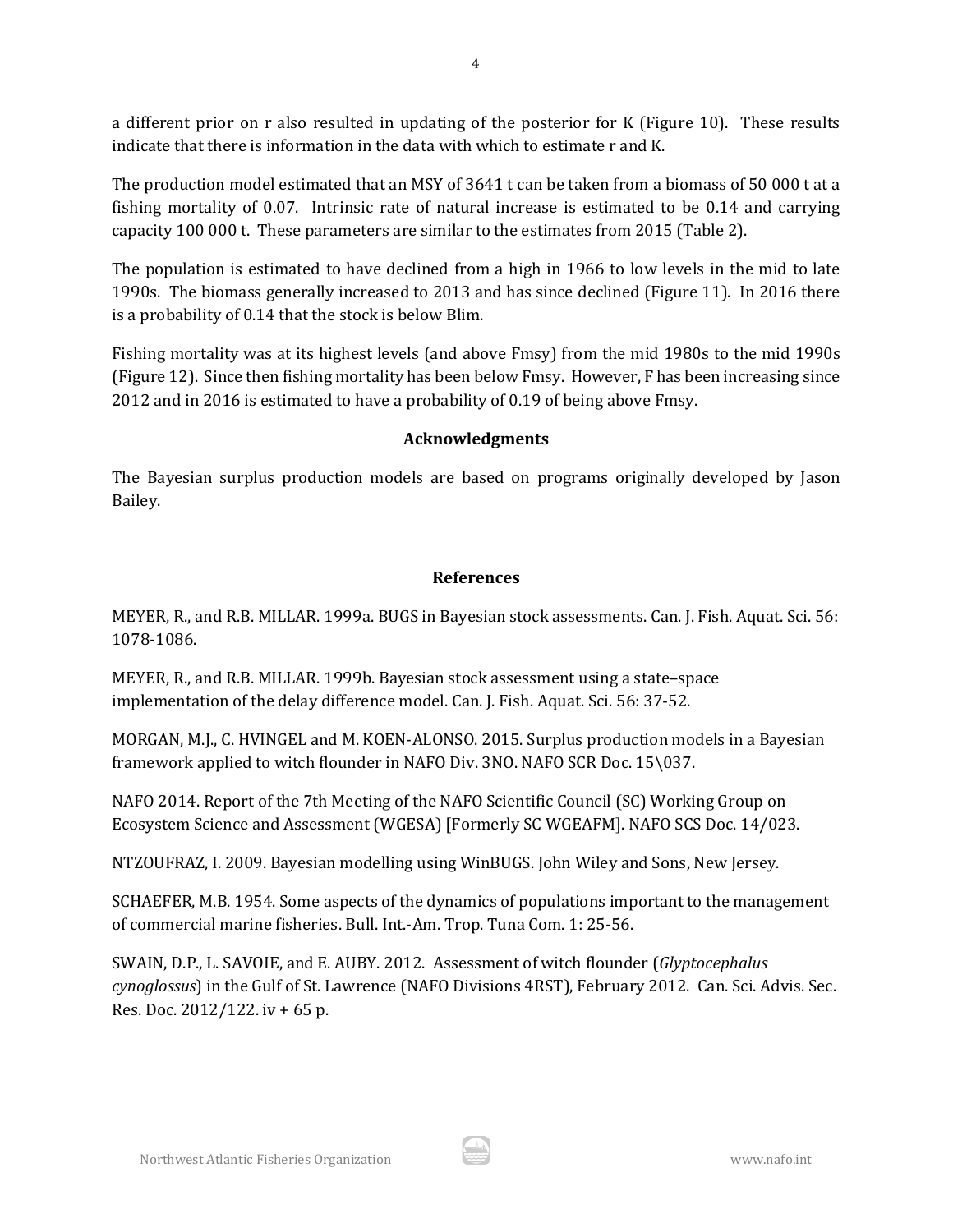a different prior on r also resulted in updating of the posterior for K (Figure 10). These results indicate that there is information in the data with which to estimate r and K.

The production model estimated that an MSY of 3641 t can be taken from a biomass of 50 000 t at a fishing mortality of 0.07. Intrinsic rate of natural increase is estimated to be 0.14 and carrying capacity 100 000 t. These parameters are similar to the estimates from 2015 (Table 2).

The population is estimated to have declined from a high in 1966 to low levels in the mid to late 1990s. The biomass generally increased to 2013 and has since declined (Figure 11). In 2016 there is a probability of 0.14 that the stock is below Blim.

Fishing mortality was at its highest levels (and above Fmsy) from the mid 1980s to the mid 1990s (Figure 12). Since then fishing mortality has been below Fmsy. However, F has been increasing since 2012 and in 2016 is estimated to have a probability of 0.19 of being above Fmsy.

### **Acknowledgments**

The Bayesian surplus production models are based on programs originally developed by Jason Bailey.

## **References**

MEYER, R., and R.B. MILLAR. 1999a. BUGS in Bayesian stock assessments. Can. J. Fish. Aquat. Sci. 56: 1078-1086.

MEYER, R., and R.B. MILLAR. 1999b. Bayesian stock assessment using a state–space implementation of the delay difference model. Can. J. Fish. Aquat. Sci. 56: 37-52.

MORGAN, M.J., C. HVINGEL and M. KOEN-ALONSO. 2015. Surplus production models in a Bayesian framework applied to witch flounder in NAFO Div. 3NO. NAFO SCR Doc. 15\037.

NAFO 2014. Report of the 7th Meeting of the NAFO Scientific Council (SC) Working Group on Ecosystem Science and Assessment (WGESA) [Formerly SC WGEAFM]. NAFO SCS Doc. 14/023.

NTZOUFRAZ, I. 2009. Bayesian modelling using WinBUGS. John Wiley and Sons, New Jersey.

SCHAEFER, M.B. 1954. Some aspects of the dynamics of populations important to the management of commercial marine fisheries. Bull. Int.-Am. Trop. Tuna Com. 1: 25-56.

SWAIN, D.P., L. SAVOIE, and E. AUBY. 2012. Assessment of witch flounder (*Glyptocephalus cynoglossus*) in the Gulf of St. Lawrence (NAFO Divisions 4RST), February 2012. Can. Sci. Advis. Sec. Res. Doc. 2012/122. iv + 65 p.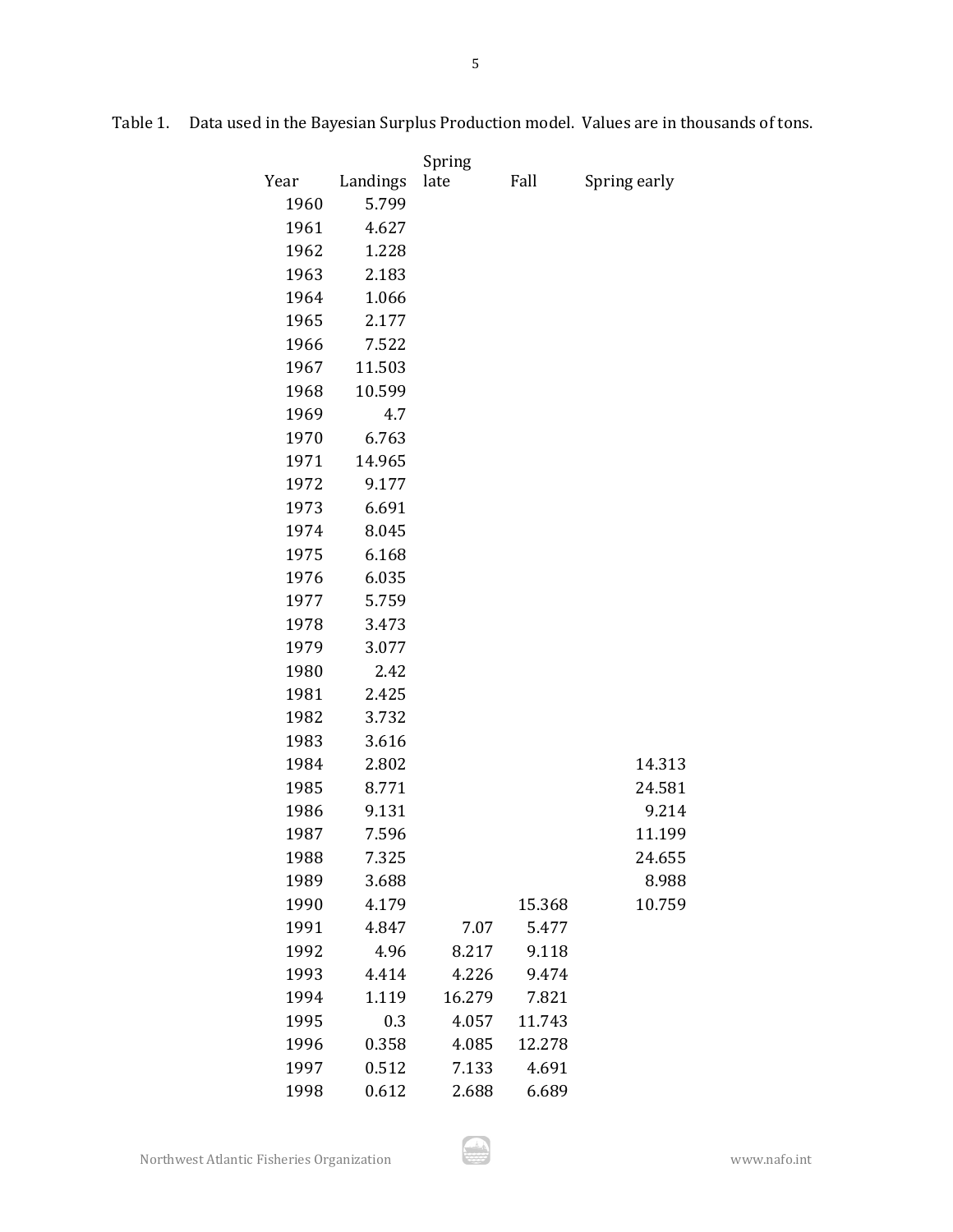|      |          | Spring |        |              |  |  |
|------|----------|--------|--------|--------------|--|--|
| Year | Landings | late   | Fall   | Spring early |  |  |
| 1960 | 5.799    |        |        |              |  |  |
| 1961 | 4.627    |        |        |              |  |  |
| 1962 | 1.228    |        |        |              |  |  |
| 1963 | 2.183    |        |        |              |  |  |
| 1964 | 1.066    |        |        |              |  |  |
| 1965 | 2.177    |        |        |              |  |  |
| 1966 | 7.522    |        |        |              |  |  |
| 1967 | 11.503   |        |        |              |  |  |
| 1968 | 10.599   |        |        |              |  |  |
| 1969 | 4.7      |        |        |              |  |  |
| 1970 | 6.763    |        |        |              |  |  |
| 1971 | 14.965   |        |        |              |  |  |
| 1972 | 9.177    |        |        |              |  |  |
| 1973 | 6.691    |        |        |              |  |  |
| 1974 | 8.045    |        |        |              |  |  |
| 1975 | 6.168    |        |        |              |  |  |
| 1976 | 6.035    |        |        |              |  |  |
| 1977 | 5.759    |        |        |              |  |  |
| 1978 | 3.473    |        |        |              |  |  |
| 1979 | 3.077    |        |        |              |  |  |
| 1980 | 2.42     |        |        |              |  |  |
| 1981 | 2.425    |        |        |              |  |  |
| 1982 | 3.732    |        |        |              |  |  |
| 1983 | 3.616    |        |        |              |  |  |
| 1984 | 2.802    |        |        | 14.313       |  |  |
| 1985 | 8.771    |        |        | 24.581       |  |  |
| 1986 | 9.131    |        |        | 9.214        |  |  |
| 1987 | 7.596    |        |        | 11.199       |  |  |
| 1988 | 7.325    |        |        | 24.655       |  |  |
| 1989 | 3.688    |        |        | 8.988        |  |  |
| 1990 | 4.179    |        | 15.368 | 10.759       |  |  |
| 1991 | 4.847    | 7.07   | 5.477  |              |  |  |
| 1992 | 4.96     | 8.217  | 9.118  |              |  |  |
| 1993 | 4.414    | 4.226  | 9.474  |              |  |  |
| 1994 | 1.119    | 16.279 | 7.821  |              |  |  |
| 1995 | 0.3      | 4.057  | 11.743 |              |  |  |
| 1996 | 0.358    | 4.085  | 12.278 |              |  |  |
| 1997 | 0.512    | 7.133  | 4.691  |              |  |  |
| 1998 | 0.612    | 2.688  | 6.689  |              |  |  |

Table 1. Data used in the Bayesian Surplus Production model. Values are in thousands of tons.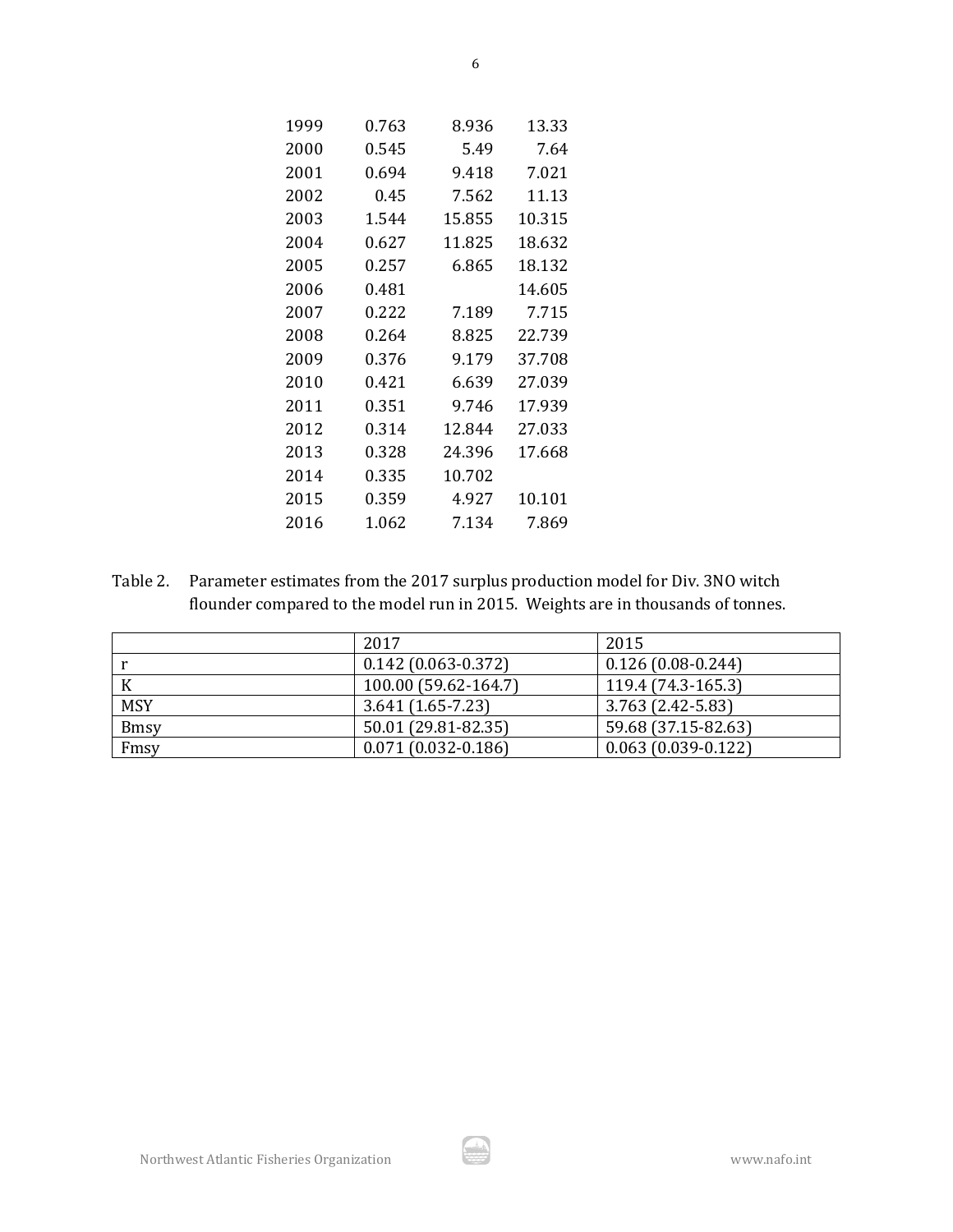| 1999 | 0.763 | 8.936  | 13.33  |
|------|-------|--------|--------|
| 2000 | 0.545 | 5.49   | 7.64   |
| 2001 | 0.694 | 9.418  | 7.021  |
| 2002 | 0.45  | 7.562  | 11.13  |
| 2003 | 1.544 | 15.855 | 10.315 |
| 2004 | 0.627 | 11.825 | 18.632 |
| 2005 | 0.257 | 6.865  | 18.132 |
| 2006 | 0.481 |        | 14.605 |
| 2007 | 0.222 | 7.189  | 7.715  |
| 2008 | 0.264 | 8.825  | 22.739 |
| 2009 | 0.376 | 9.179  | 37.708 |
| 2010 | 0.421 | 6.639  | 27.039 |
| 2011 | 0.351 | 9.746  | 17.939 |
| 2012 | 0.314 | 12.844 | 27.033 |
| 2013 | 0.328 | 24.396 | 17.668 |
| 2014 | 0.335 | 10.702 |        |
| 2015 | 0.359 | 4.927  | 10.101 |
| 2016 | 1.062 | 7.134  | 7.869  |
|      |       |        |        |

Table 2. Parameter estimates from the 2017 surplus production model for Div. 3NO witch flounder compared to the model run in 2015. Weights are in thousands of tonnes.

|             | 2017                   | 2015                   |
|-------------|------------------------|------------------------|
|             | $0.142(0.063-0.372)$   | $0.126(0.08-0.244)$    |
|             | 100.00 (59.62-164.7)   | 119.4 (74.3-165.3)     |
| <b>MSY</b>  | $3.641(1.65-7.23)$     | 3.763 (2.42-5.83)      |
| <b>Bmsy</b> | 50.01 (29.81-82.35)    | 59.68 (37.15-82.63)    |
| Fmsy        | $0.071(0.032 - 0.186)$ | $0.063(0.039 - 0.122)$ |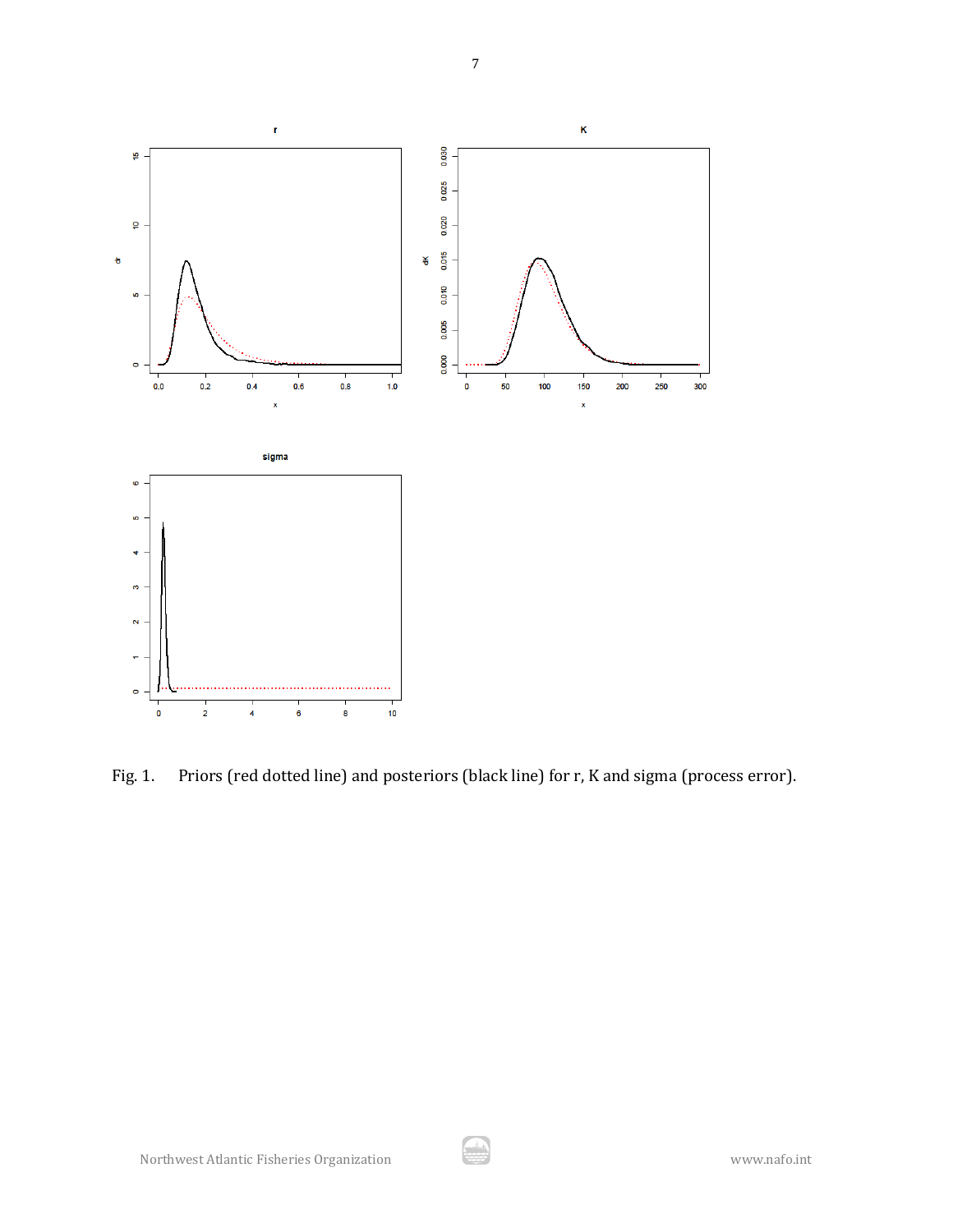

Fig. 1. Priors (red dotted line) and posteriors (black line) for r, K and sigma (process error).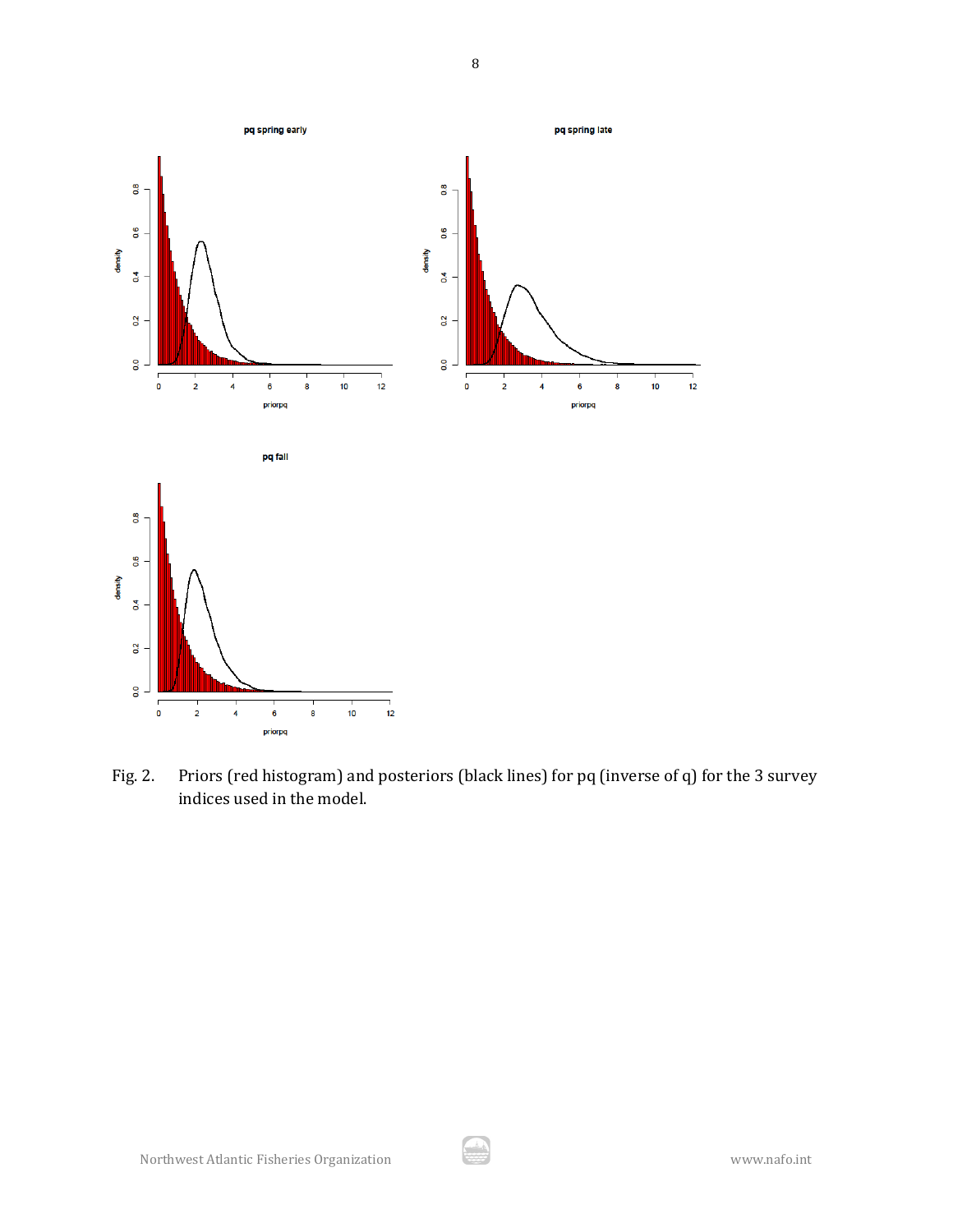

Fig. 2. Priors (red histogram) and posteriors (black lines) for pq (inverse of q) for the 3 survey indices used in the model.

يش.<br>-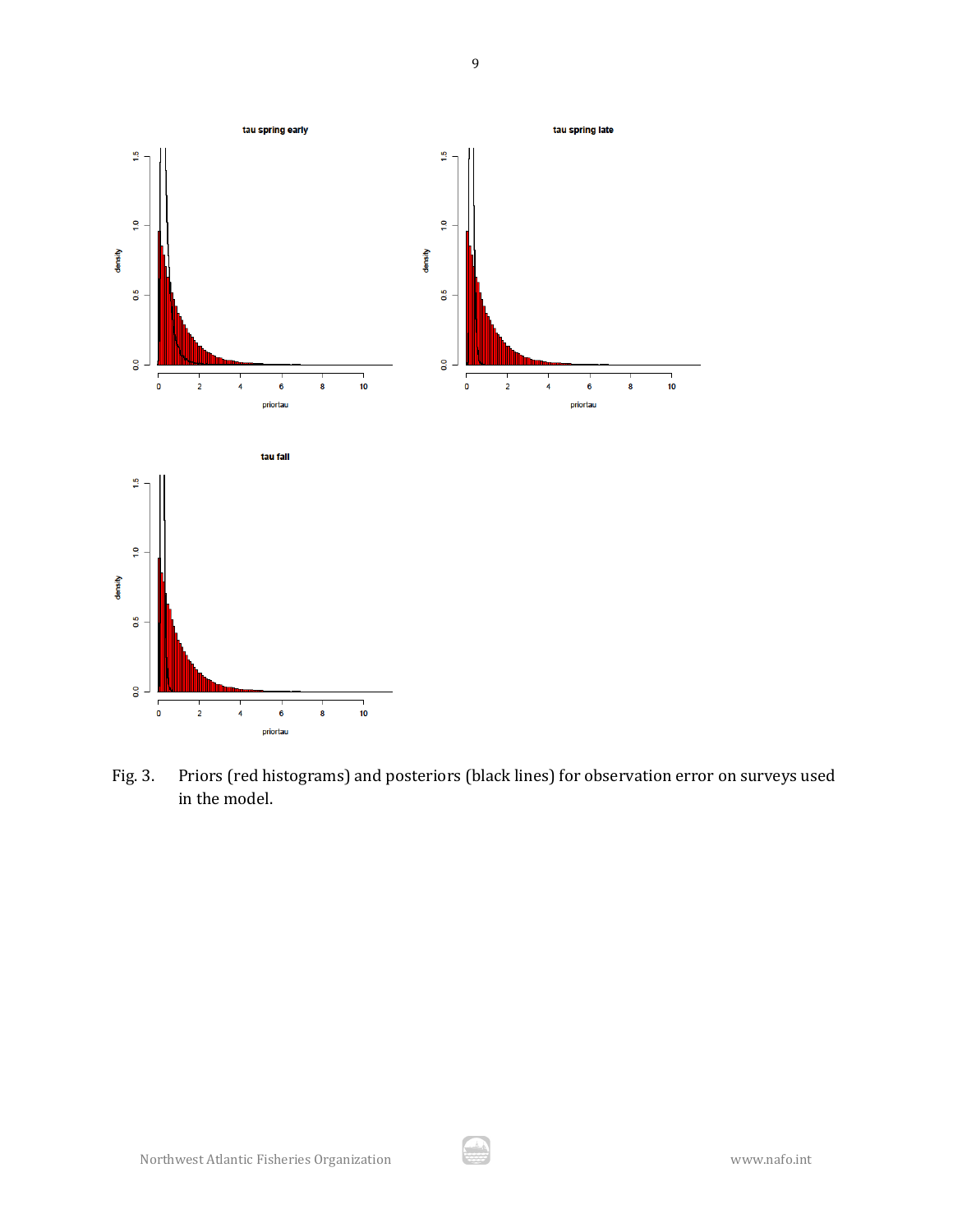

Fig. 3. Priors (red histograms) and posteriors (black lines) for observation error on surveys used in the model.

رنڈ<br>محمد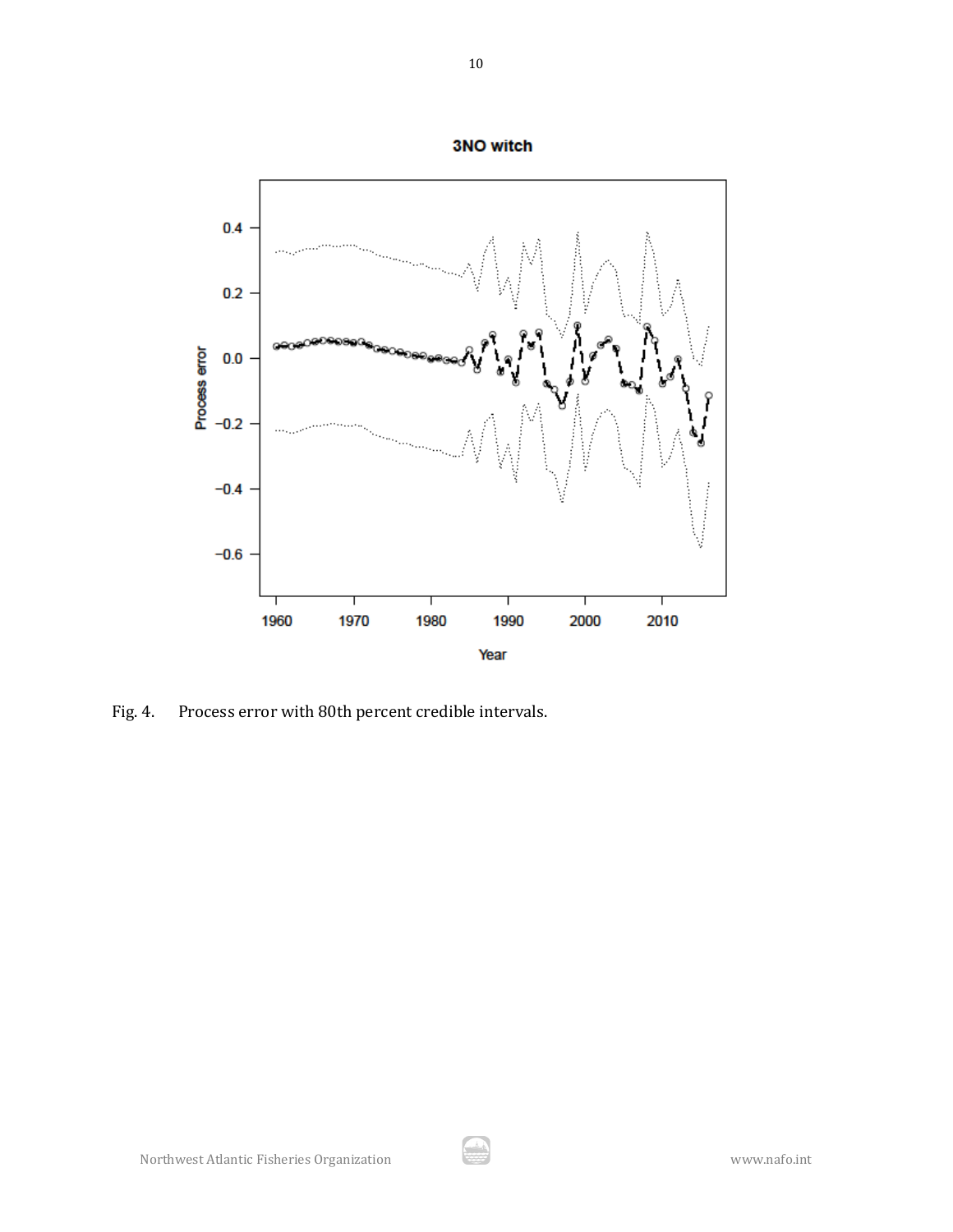

Fig. 4. Process error with 80th percent credible intervals.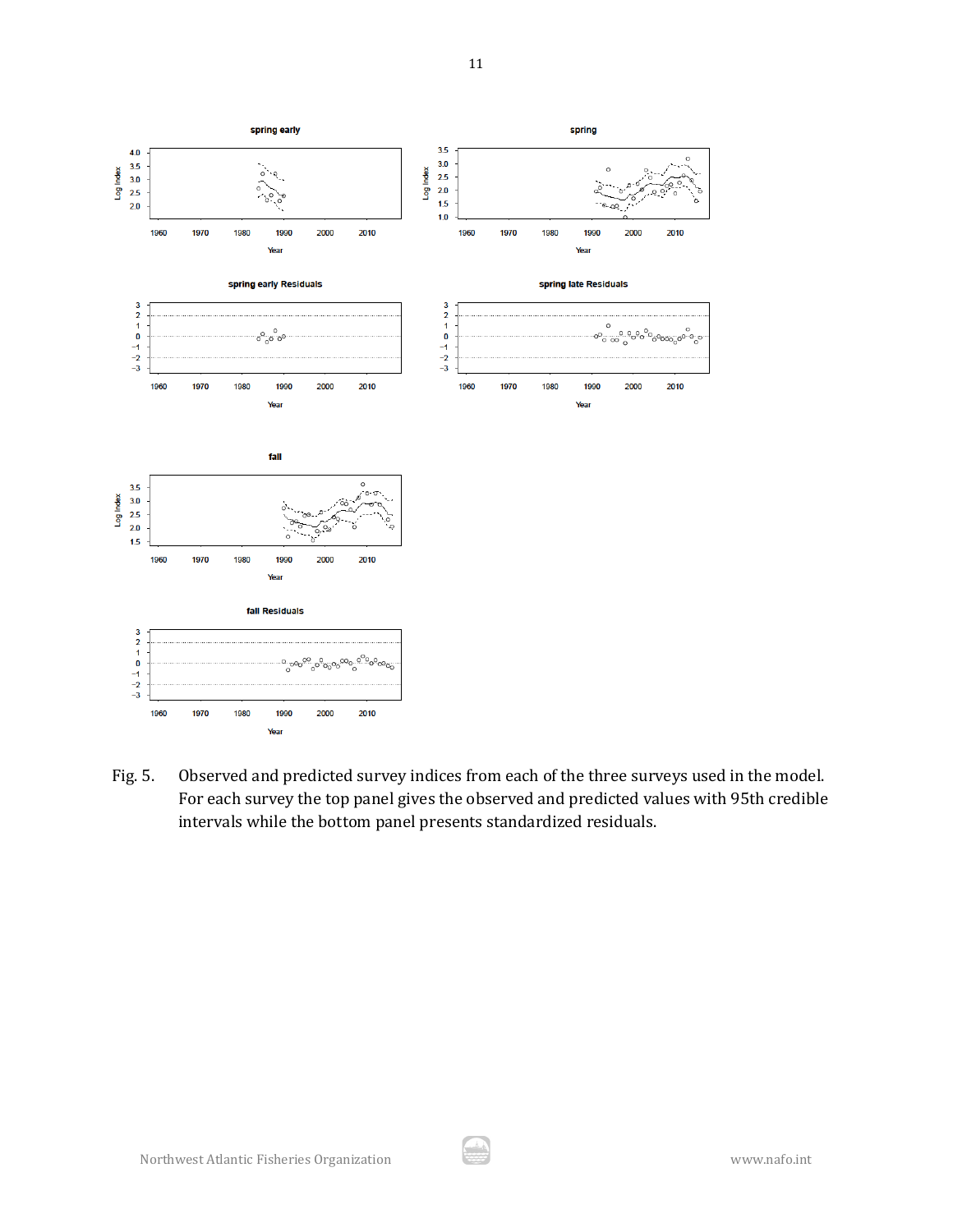

Fig. 5. Observed and predicted survey indices from each of the three surveys used in the model. For each survey the top panel gives the observed and predicted values with 95th credible intervals while the bottom panel presents standardized residuals.

يش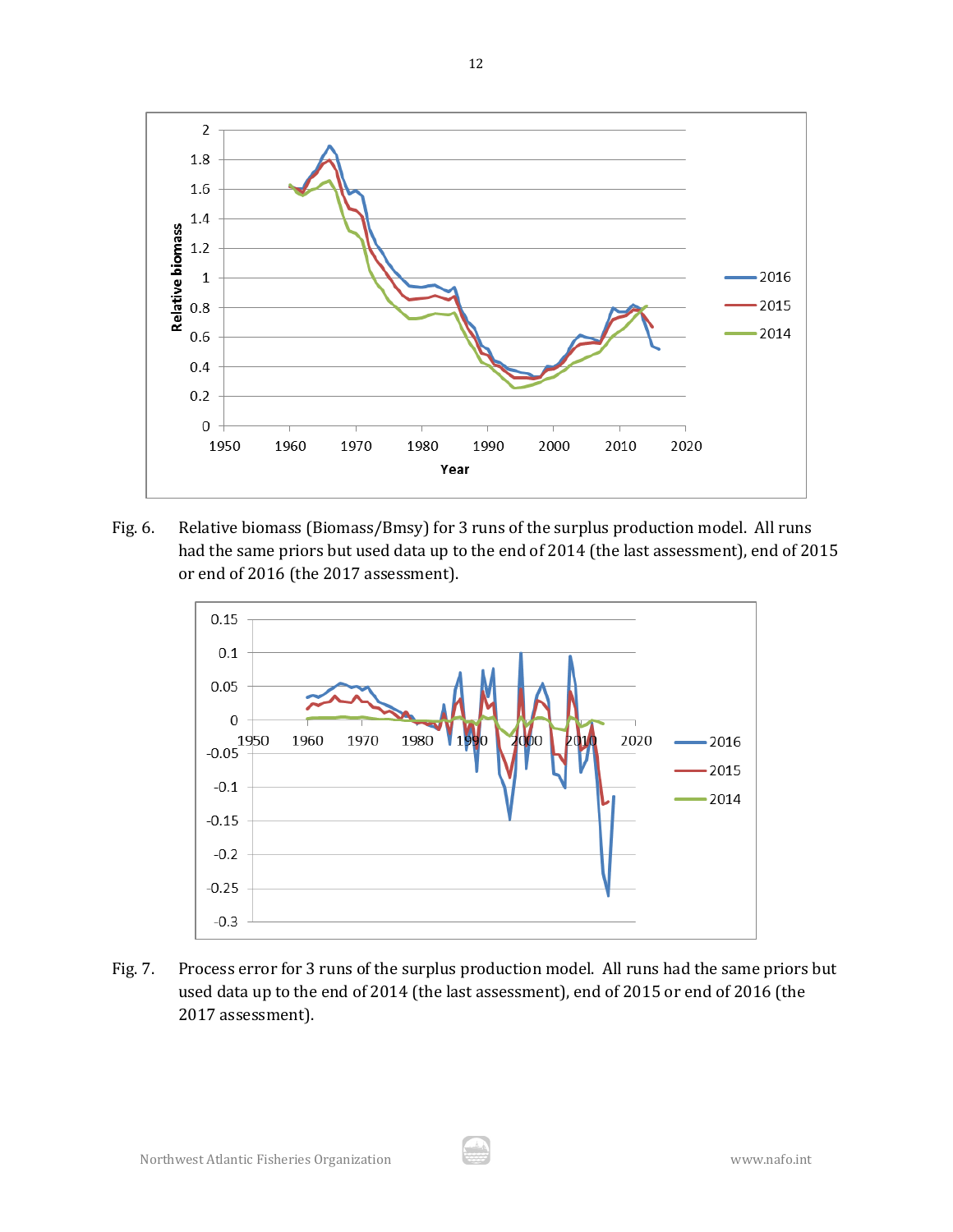

Fig. 6. Relative biomass (Biomass/Bmsy) for 3 runs of the surplus production model. All runs had the same priors but used data up to the end of 2014 (the last assessment), end of 2015 or end of 2016 (the 2017 assessment).



Fig. 7. Process error for 3 runs of the surplus production model. All runs had the same priors but used data up to the end of 2014 (the last assessment), end of 2015 or end of 2016 (the 2017 assessment).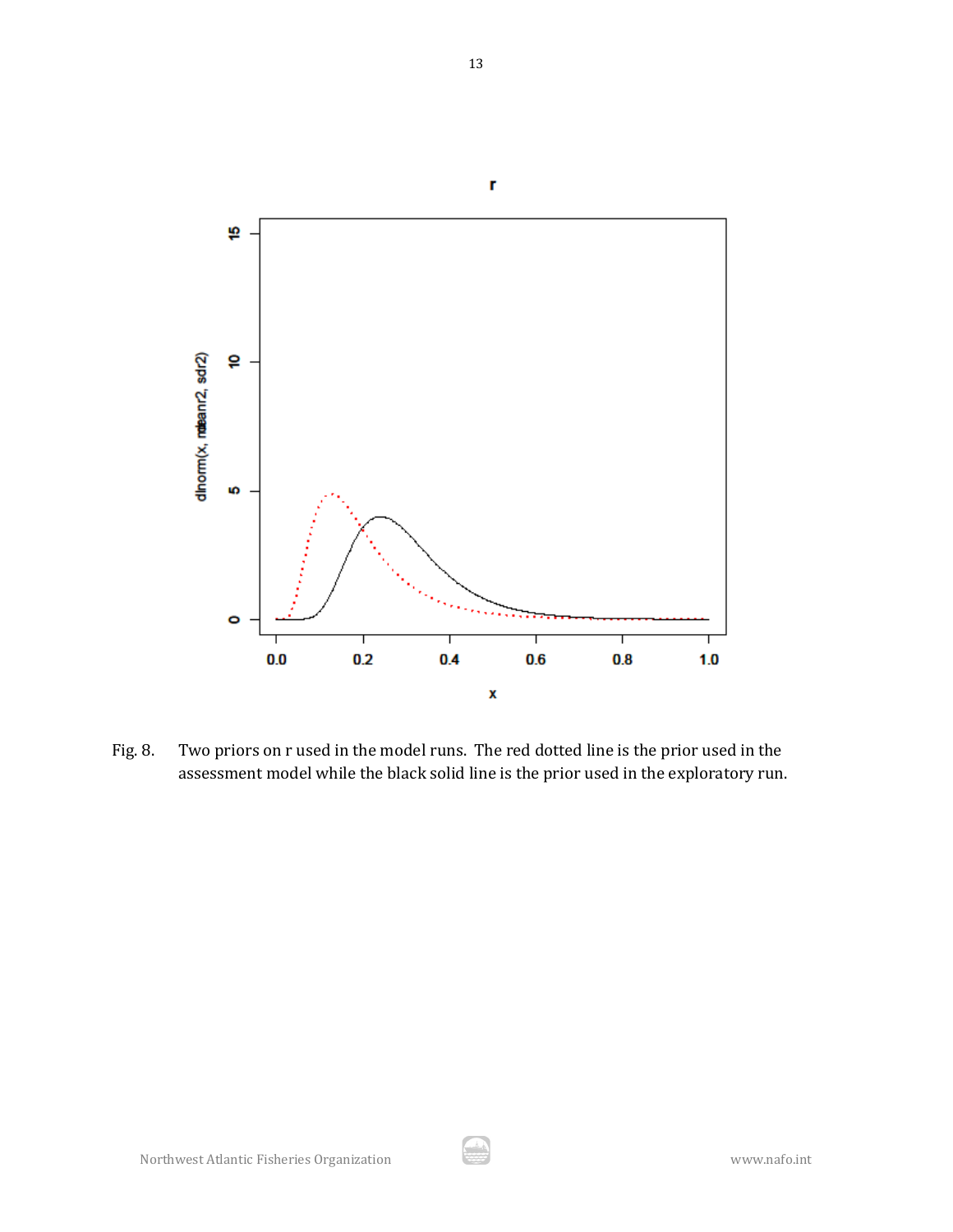

Fig. 8. Two priors on r used in the model runs. The red dotted line is the prior used in the assessment model while the black solid line is the prior used in the exploratory run.

رنڈ<br>محمد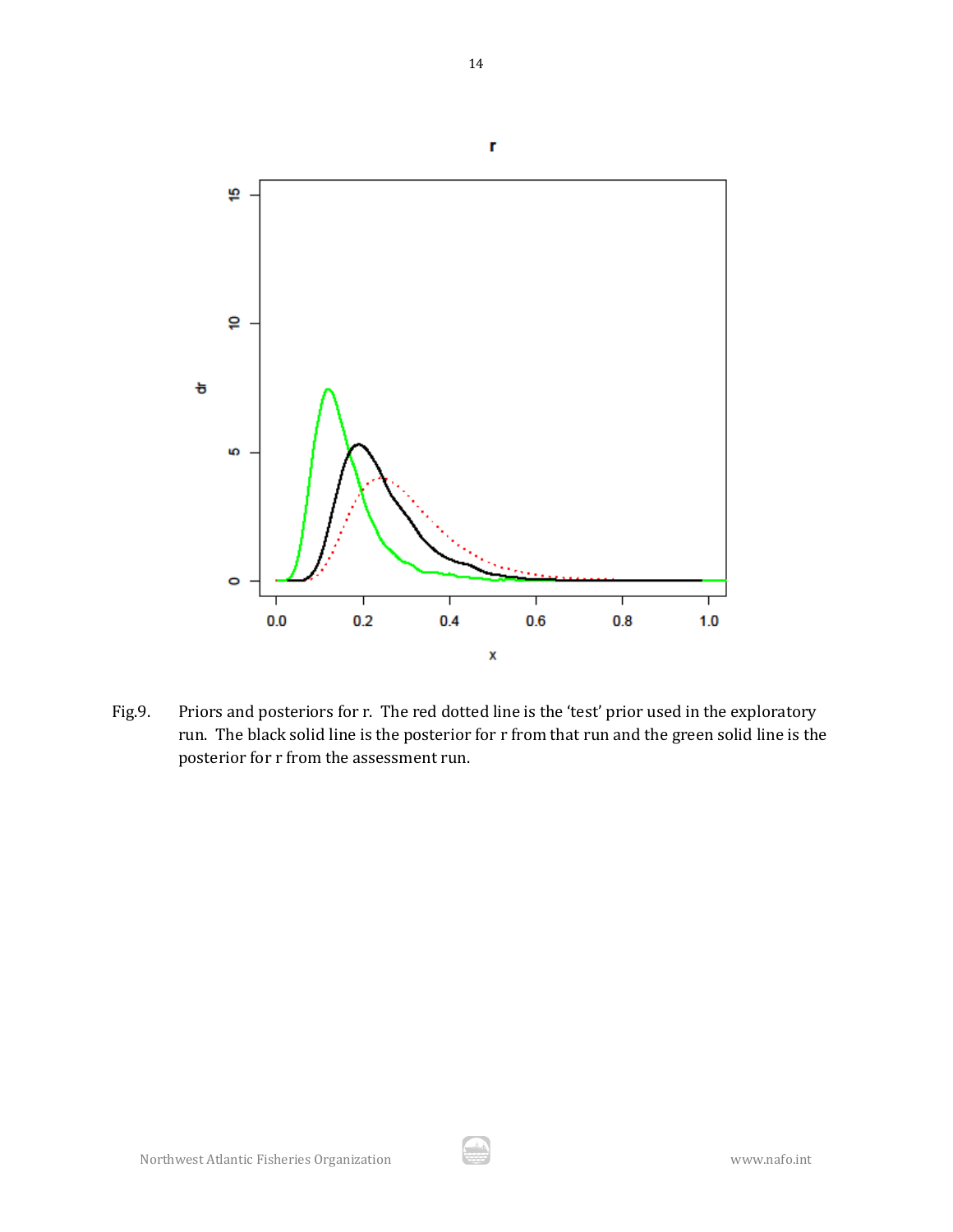

Fig.9. Priors and posteriors for r. The red dotted line is the 'test' prior used in the exploratory run. The black solid line is the posterior for r from that run and the green solid line is the posterior for r from the assessment run.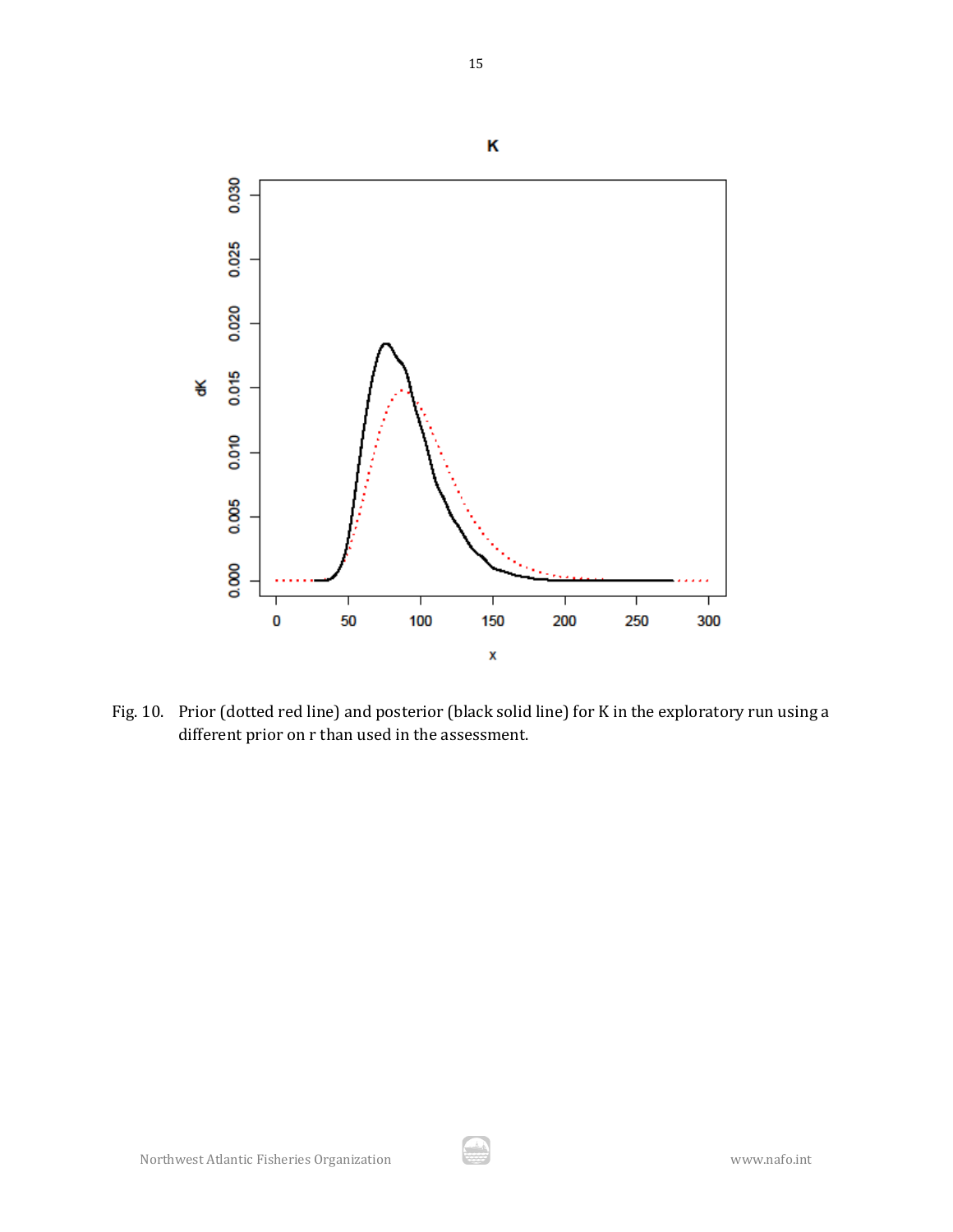

Fig. 10. Prior (dotted red line) and posterior (black solid line) for K in the exploratory run using a different prior on r than used in the assessment.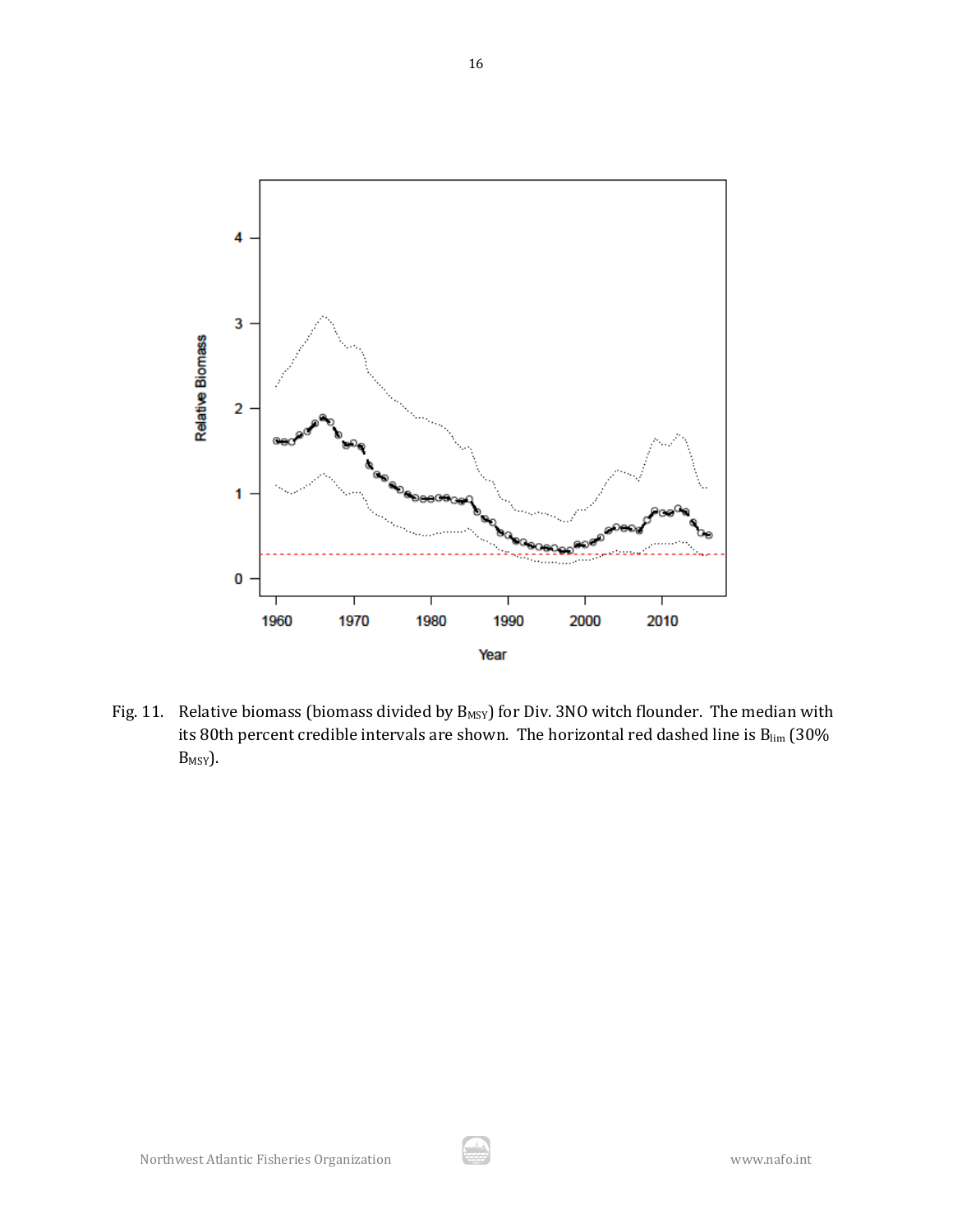

Fig. 11. Relative biomass (biomass divided by  $B_{MSY}$ ) for Div. 3NO witch flounder. The median with its 80th percent credible intervals are shown. The horizontal red dashed line is  $B_{lim}$  (30% B<sub>MSY</sub>).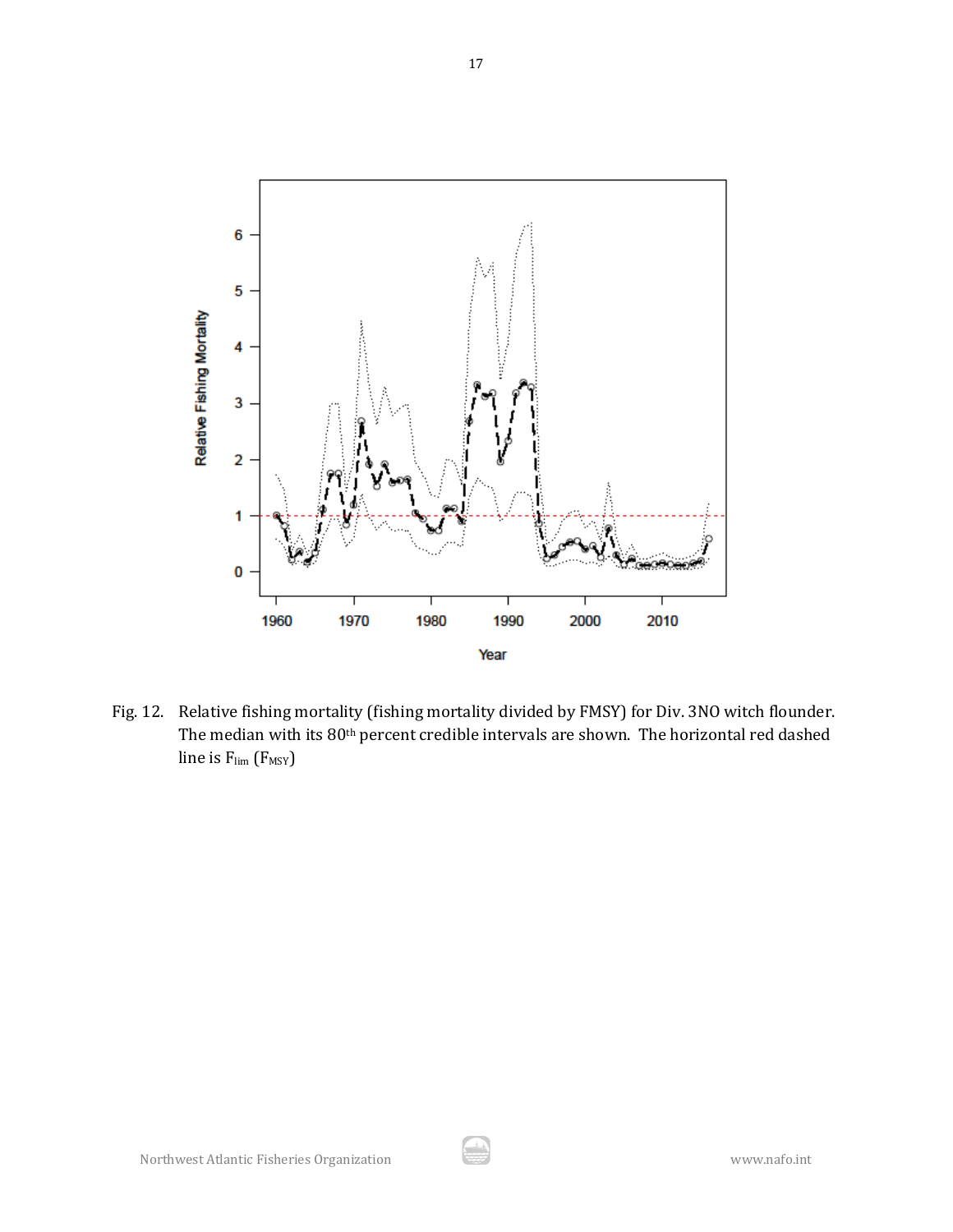

Fig. 12. Relative fishing mortality (fishing mortality divided by FMSY) for Div. 3NO witch flounder. The median with its 80th percent credible intervals are shown. The horizontal red dashed line is  $F_{\text{lim}}(F_{\text{MSY}})$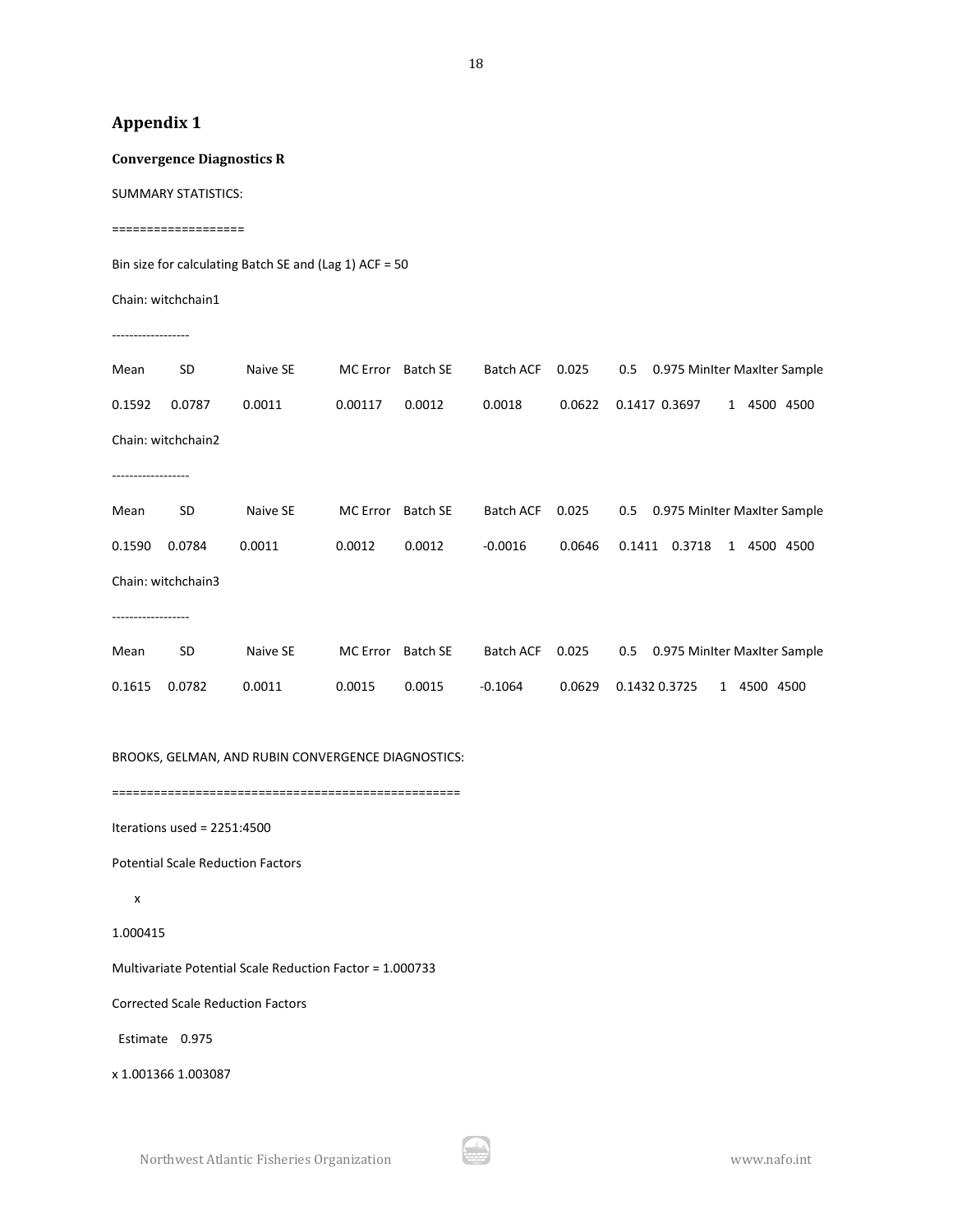## **Appendix 1**

**Convergence Diagnostics R**

SUMMARY STATISTICS:

===================

Bin size for calculating Batch SE and (Lag 1) ACF = 50

Chain: witchchain1

------------------

| Mean   | SD                 | Naive SE | MC Error        | <b>Batch SE</b> | <b>Batch ACF</b> | 0.025  | 0.975 MinIter MaxIter Sample<br>0.5           |
|--------|--------------------|----------|-----------------|-----------------|------------------|--------|-----------------------------------------------|
| 0.1592 | 0.0787             | 0.0011   | 0.00117         | 0.0012          | 0.0018           | 0.0622 | 0.1417 0.3697<br>4500 4500<br>$\mathbf{1}$    |
|        | Chain: witchchain2 |          |                 |                 |                  |        |                                               |
|        |                    |          |                 |                 |                  |        |                                               |
| Mean   | SD                 | Naive SE | <b>MC</b> Error | <b>Batch SE</b> | <b>Batch ACF</b> | 0.025  | 0.5<br>0.975 MinIter MaxIter Sample           |
| 0.1590 | 0.0784             | 0.0011   | 0.0012          | 0.0012          | $-0.0016$        | 0.0646 | 0.1411<br>0.3718<br>4500 4500<br>$\mathbf{1}$ |
|        | Chain: witchchain3 |          |                 |                 |                  |        |                                               |
|        |                    |          |                 |                 |                  |        |                                               |
| Mean   | SD                 | Naive SE | <b>MC</b> Error | <b>Batch SE</b> | <b>Batch ACF</b> | 0.025  | 0.5<br>0.975 MinIter MaxIter Sample           |
| 0.1615 | 0.0782             | 0.0011   | 0.0015          | 0.0015          | $-0.1064$        | 0.0629 | 0.1432 0.3725<br>4500 4500<br>1               |

BROOKS, GELMAN, AND RUBIN CONVERGENCE DIAGNOSTICS:

==================================================

Iterations used = 2251:4500

Potential Scale Reduction Factors

x

1.000415

Multivariate Potential Scale Reduction Factor = 1.000733

Corrected Scale Reduction Factors

Estimate 0.975

x 1.001366 1.003087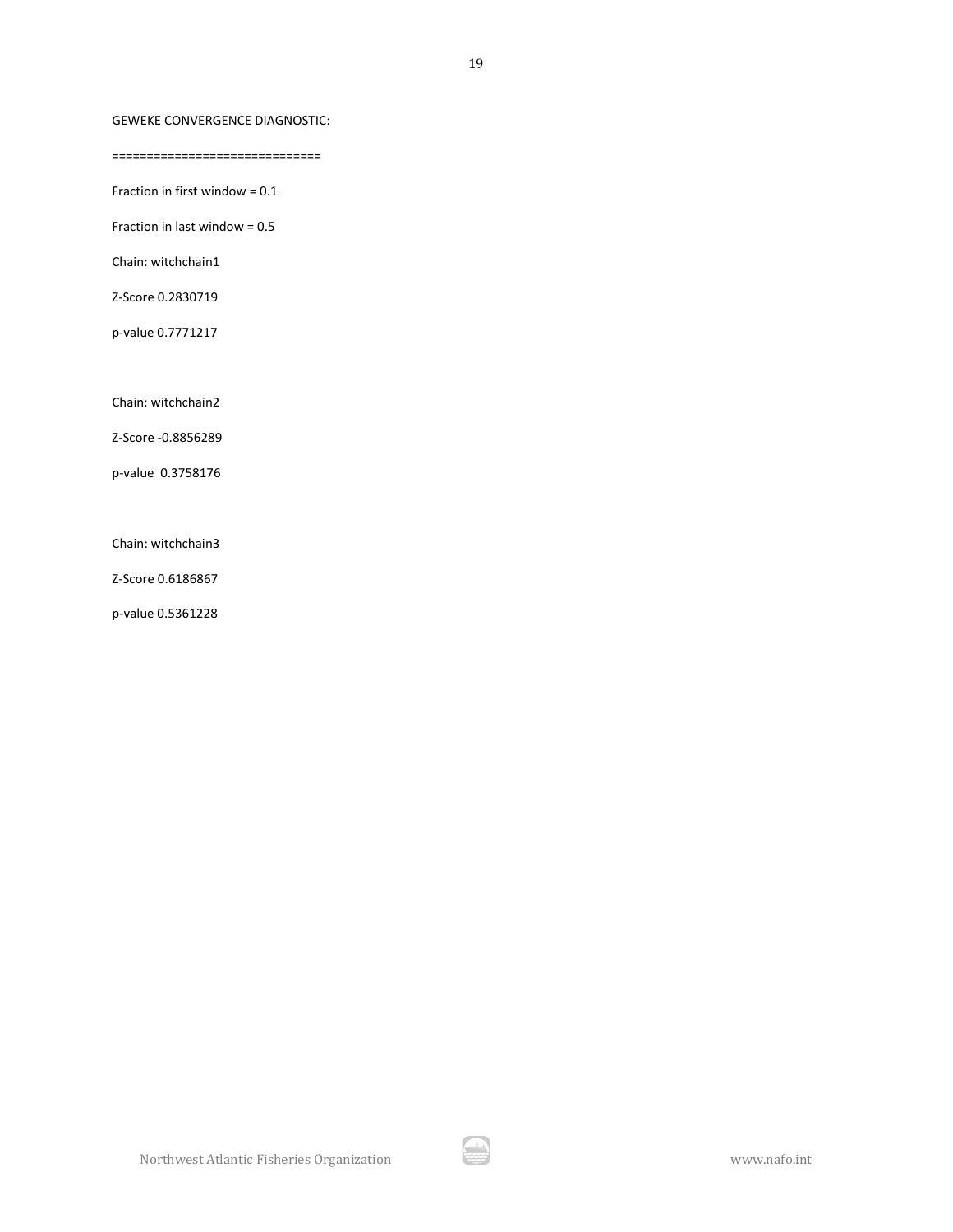### GEWEKE CONVERGENCE DIAGNOSTIC:

==============================

Fraction in first window = 0.1

Fraction in last window = 0.5

Chain: witchchain1

Z-Score 0.2830719

p-value 0.7771217

Chain: witchchain2

Z-Score -0.8856289

p-value 0.3758176

Chain: witchchain3

Z-Score 0.6186867

p-value 0.5361228

19

A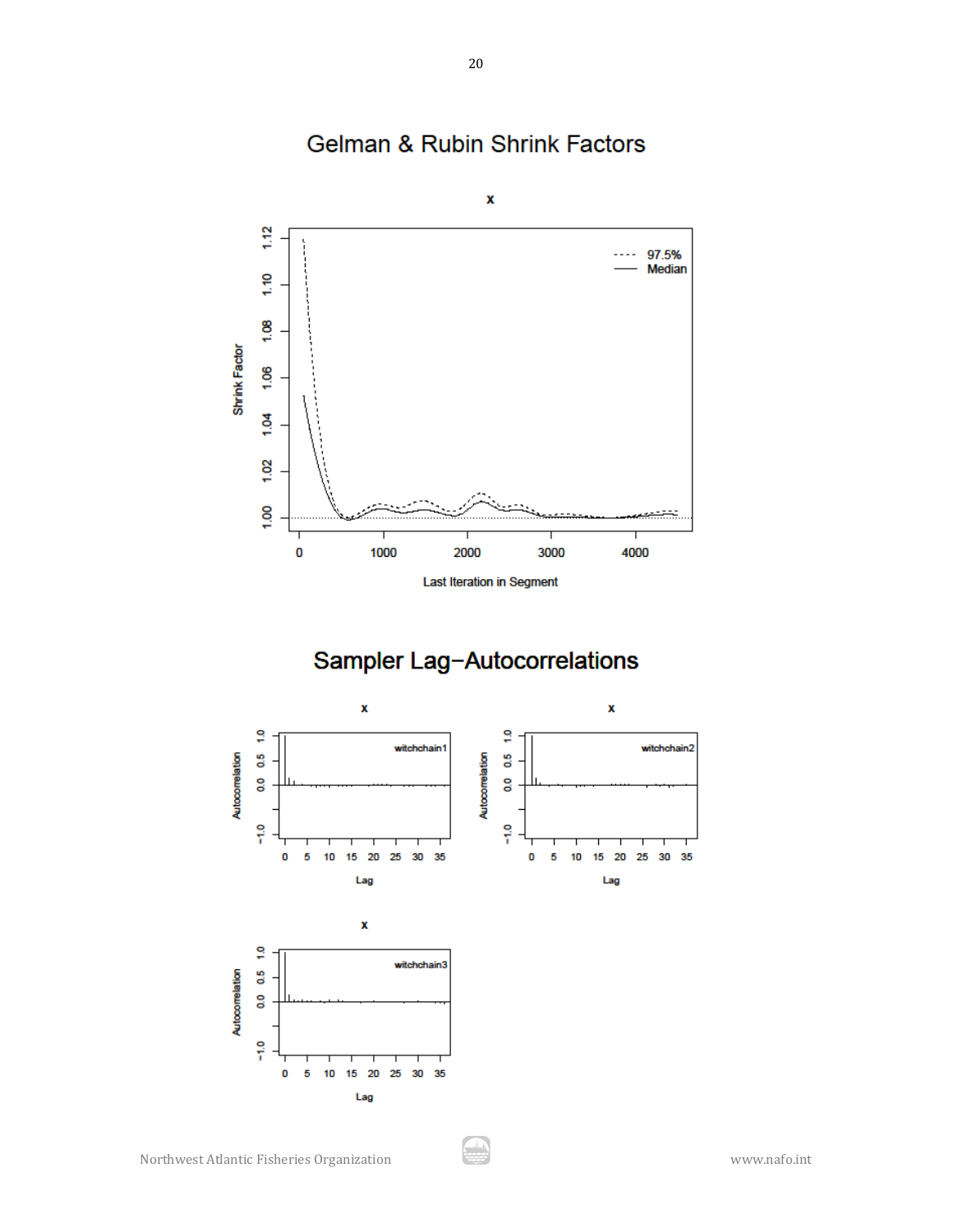

# Gelman & Rubin Shrink Factors

Sampler Lag-Autocorrelations

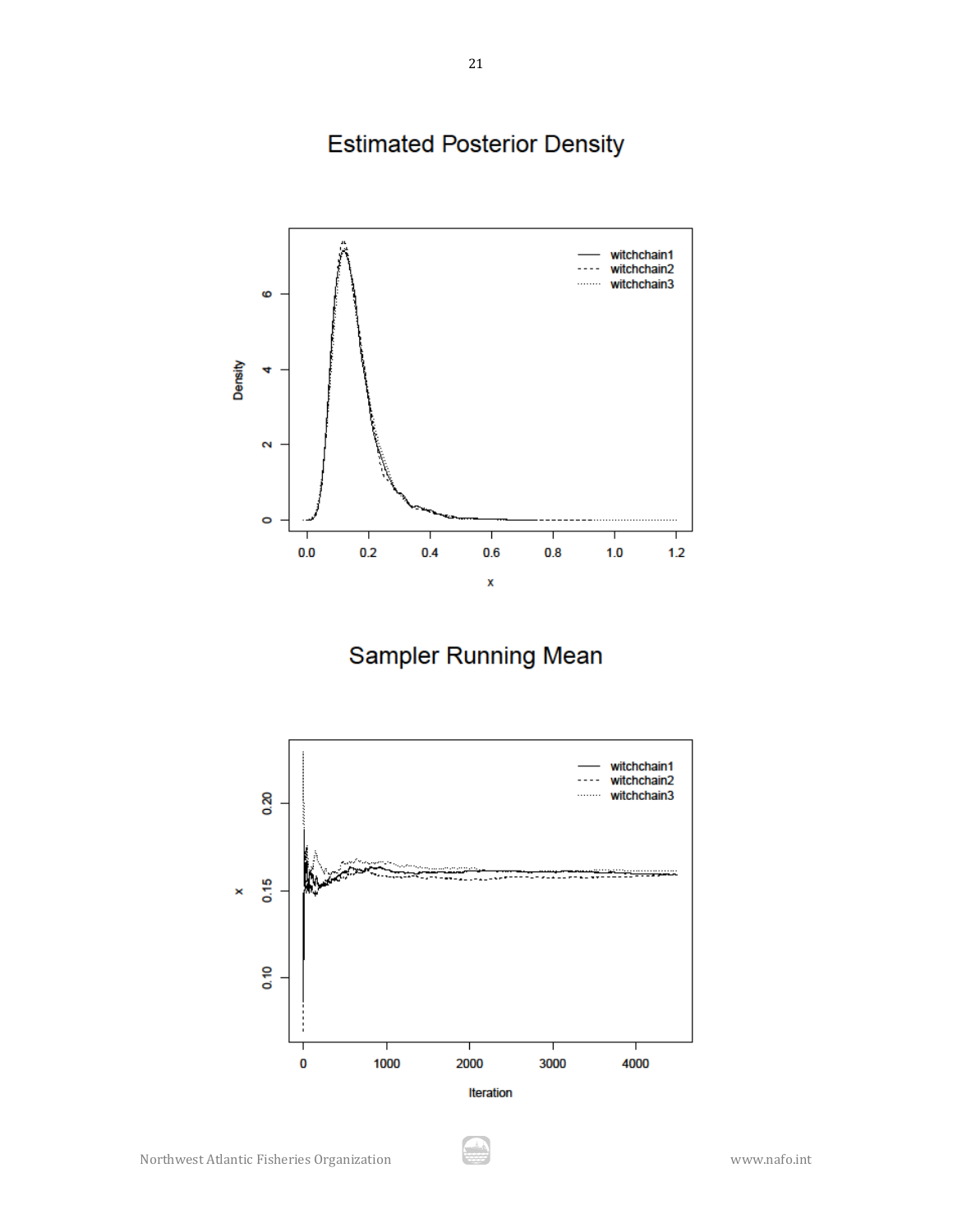# **Estimated Posterior Density**



Sampler Running Mean

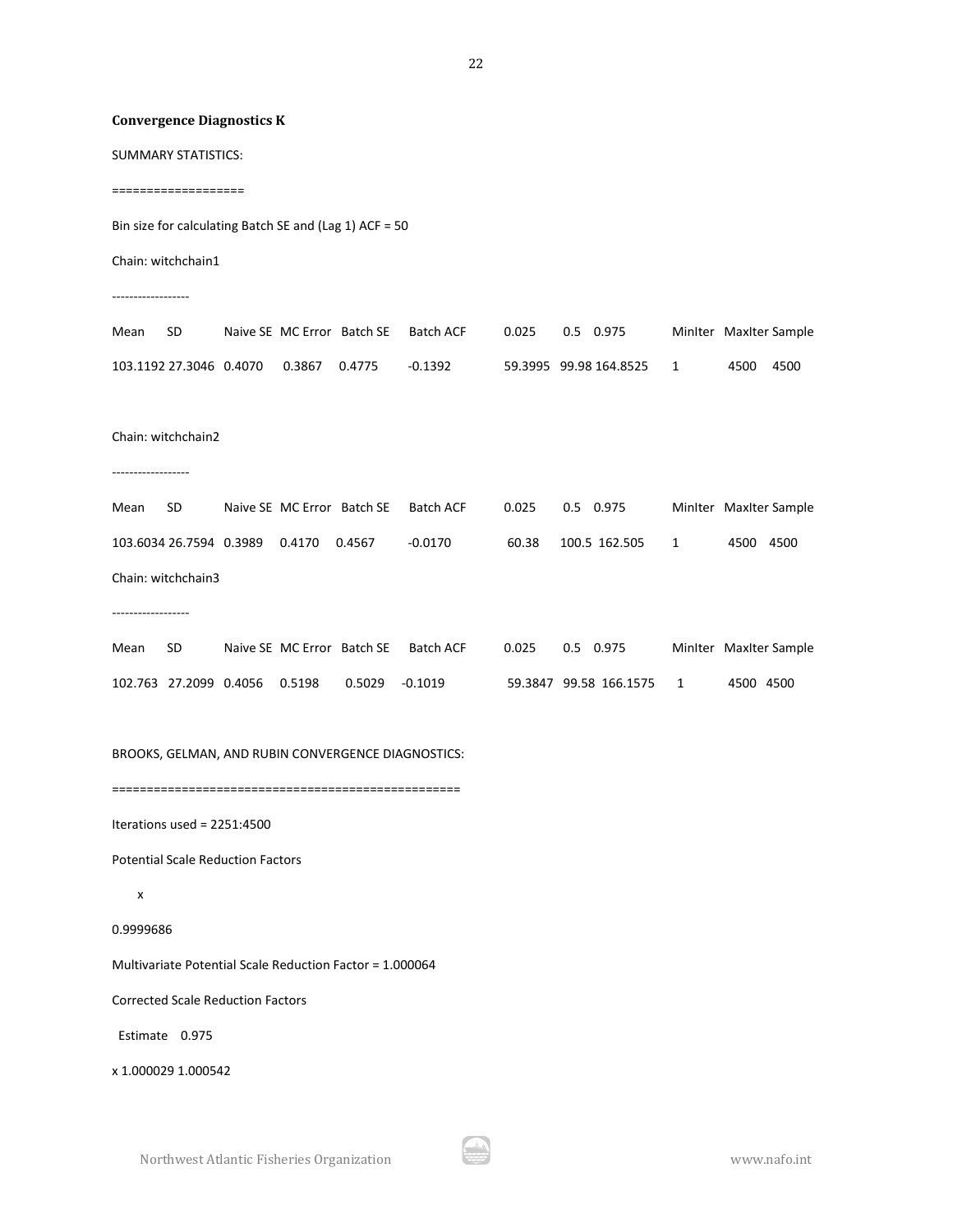### **Convergence Diagnostics K**

SUMMARY STATISTICS:

===================

Bin size for calculating Batch SE and (Lag 1) ACF = 50

Chain: witchchain1

------------------

| Mean | - SD- |                                          | Naive SE MC Error Batch SE Batch ACF |         | 0.025 0.5 0.975 |                          | Miniter Maxiter Sample |      |        |
|------|-------|------------------------------------------|--------------------------------------|---------|-----------------|--------------------------|------------------------|------|--------|
|      |       | 103.1192 27.3046  0.4070  0.3867  0.4775 |                                      | -0.1392 |                 | 59.3995 99.98 164.8525 1 |                        | 4500 | - 4500 |

Chain: witchchain2

------------------

Mean SD Naive SE MC Error Batch SE Batch ACF 0.025 0.5 0.975 MinIter MaxIter Sample 103.6034 26.7594 0.3989 0.4170 0.4567 -0.0170 60.38 100.5 162.505 1 4500 4500 Chain: witchchain3

------------------

| Mean | - SD- |                                              | Naive SE MC Error Batch SE Batch ACF | 0.025   0.5   0.975 |                          | Miniter Maxiter Sample |
|------|-------|----------------------------------------------|--------------------------------------|---------------------|--------------------------|------------------------|
|      |       | 102.763 27.2099 0.4056 0.5198 0.5029 -0.1019 |                                      |                     | 59.3847 99.58 166.1575 1 | 4500 4500              |

BROOKS, GELMAN, AND RUBIN CONVERGENCE DIAGNOSTICS:

==================================================

Iterations used = 2251:4500

Potential Scale Reduction Factors

```
 x
```
0.9999686

Multivariate Potential Scale Reduction Factor = 1.000064

Corrected Scale Reduction Factors

Estimate 0.975

x 1.000029 1.000542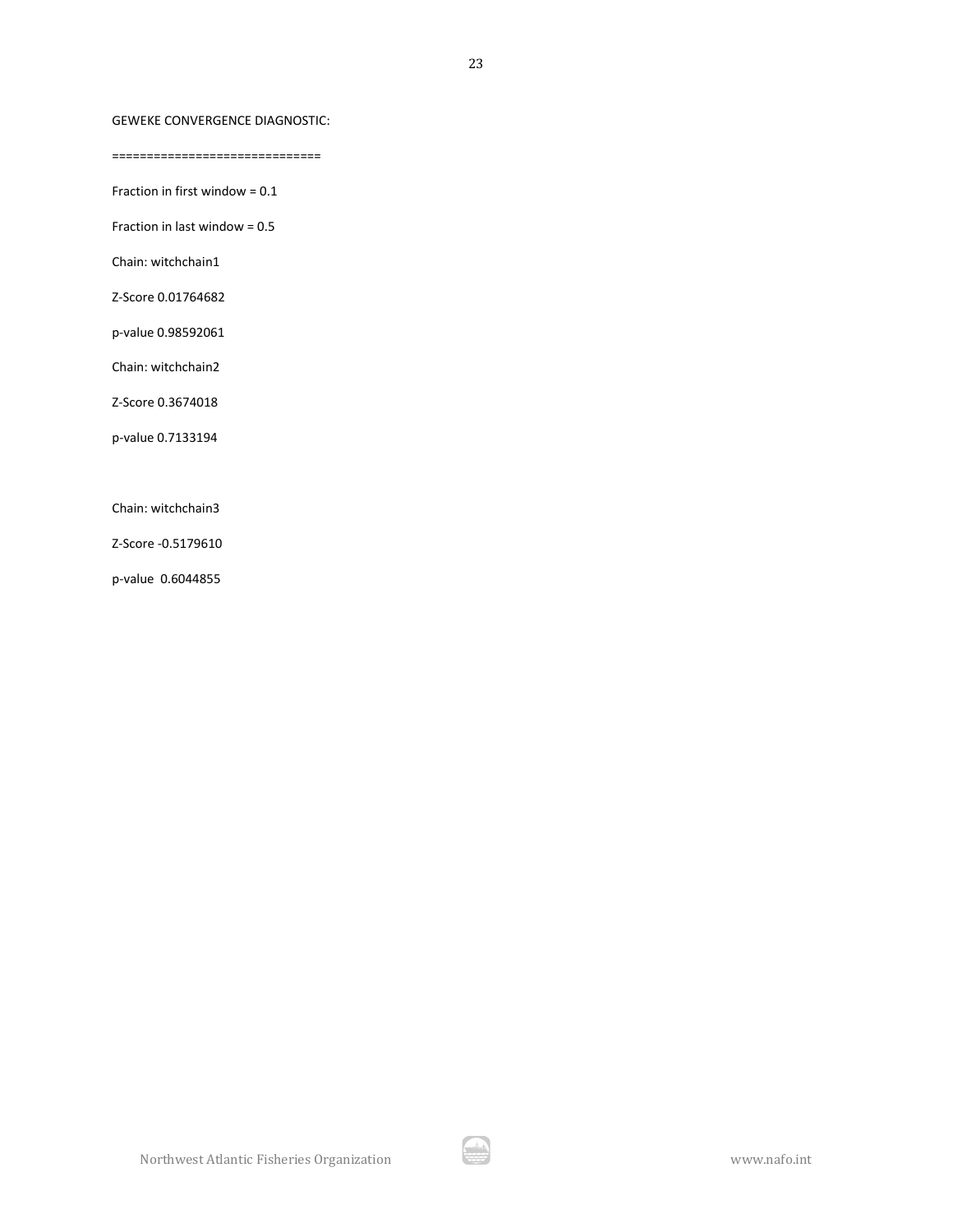### GEWEKE CONVERGENCE DIAGNOSTIC:

==============================

Fraction in first window = 0.1

Fraction in last window = 0.5

Chain: witchchain1

Z-Score 0.01764682

p-value 0.98592061

Chain: witchchain2

Z-Score 0.3674018

p-value 0.7133194

Chain: witchchain3

Z-Score -0.5179610

p-value 0.6044855

الكار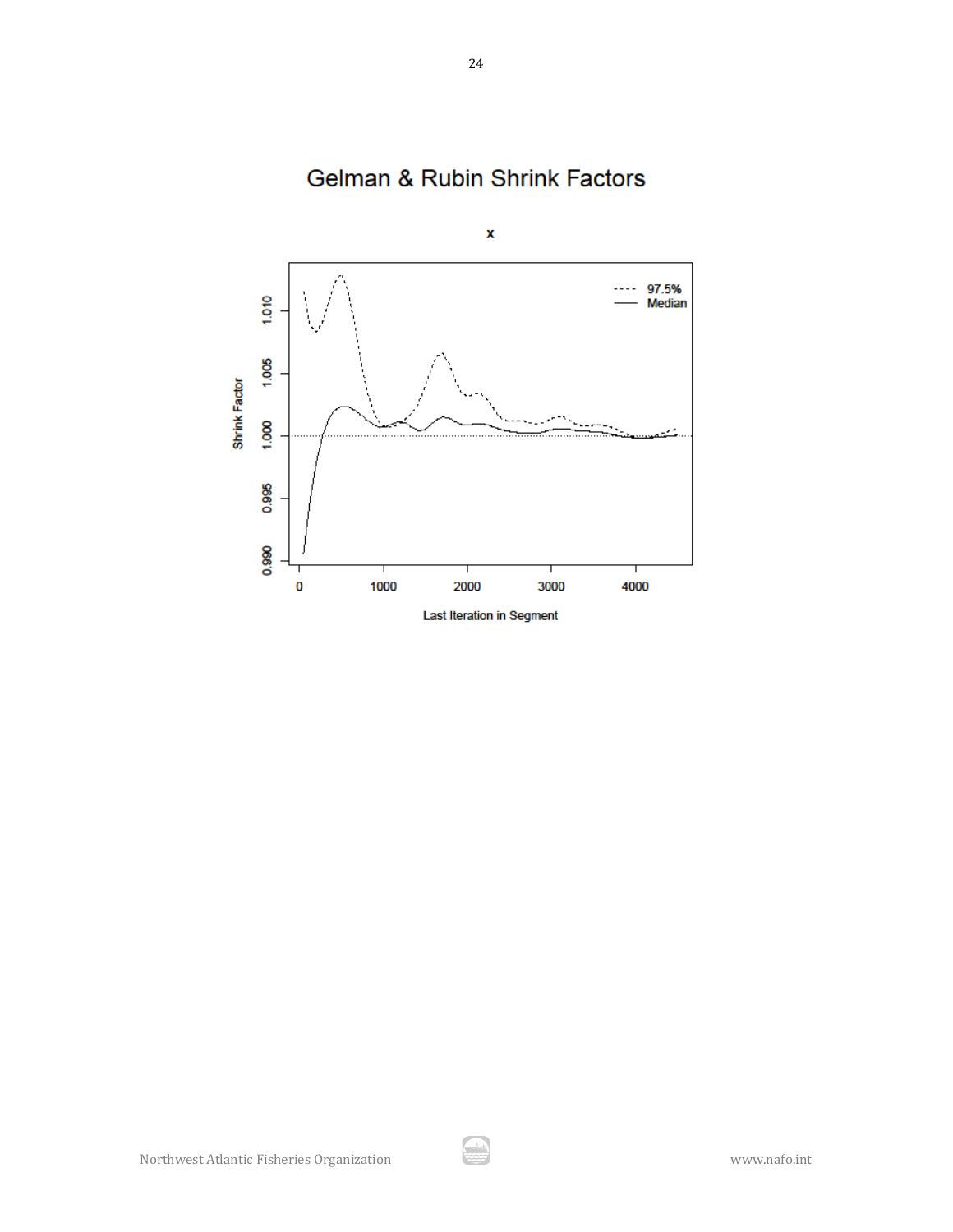

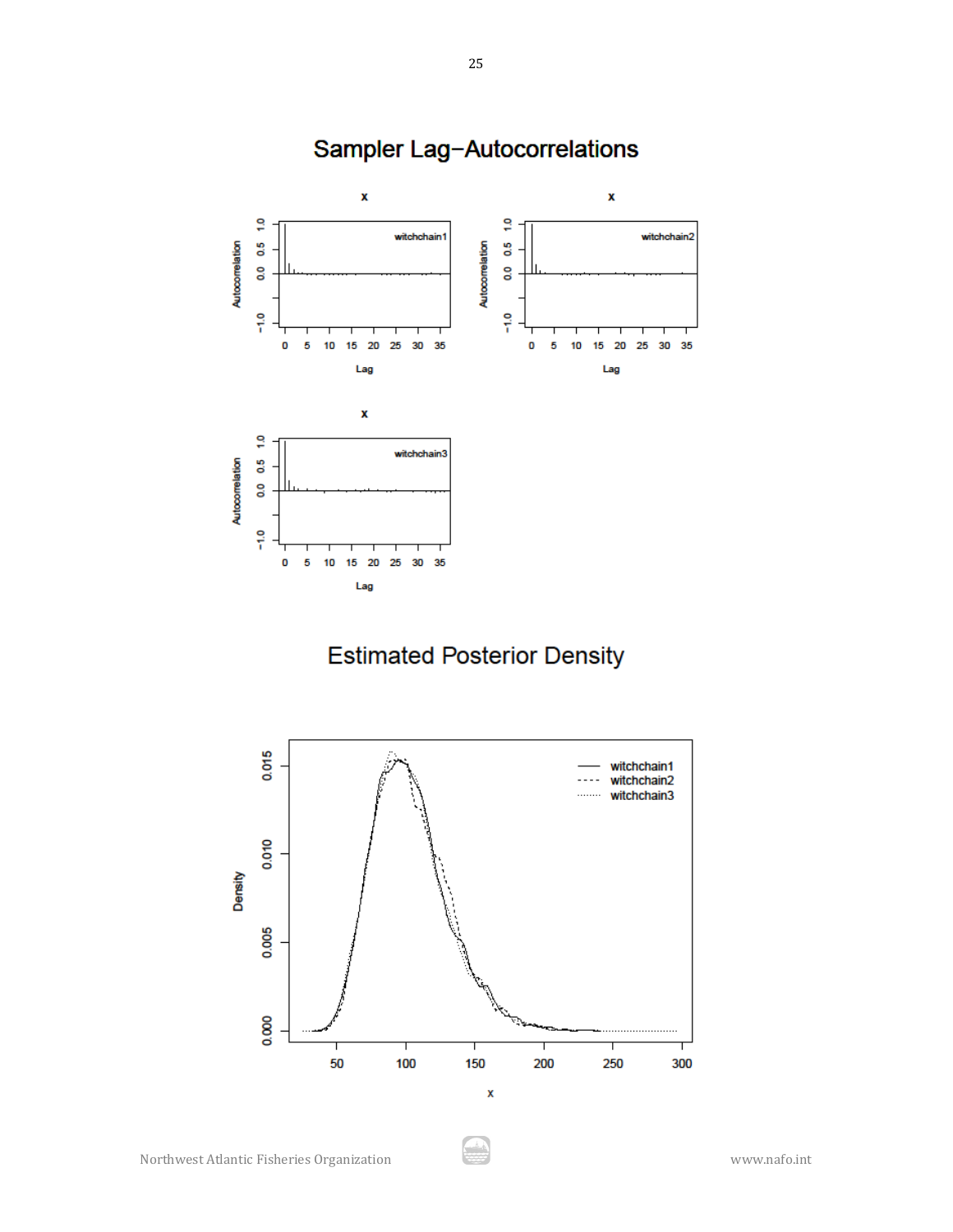

# Sampler Lag-Autocorrelations

# **Estimated Posterior Density**

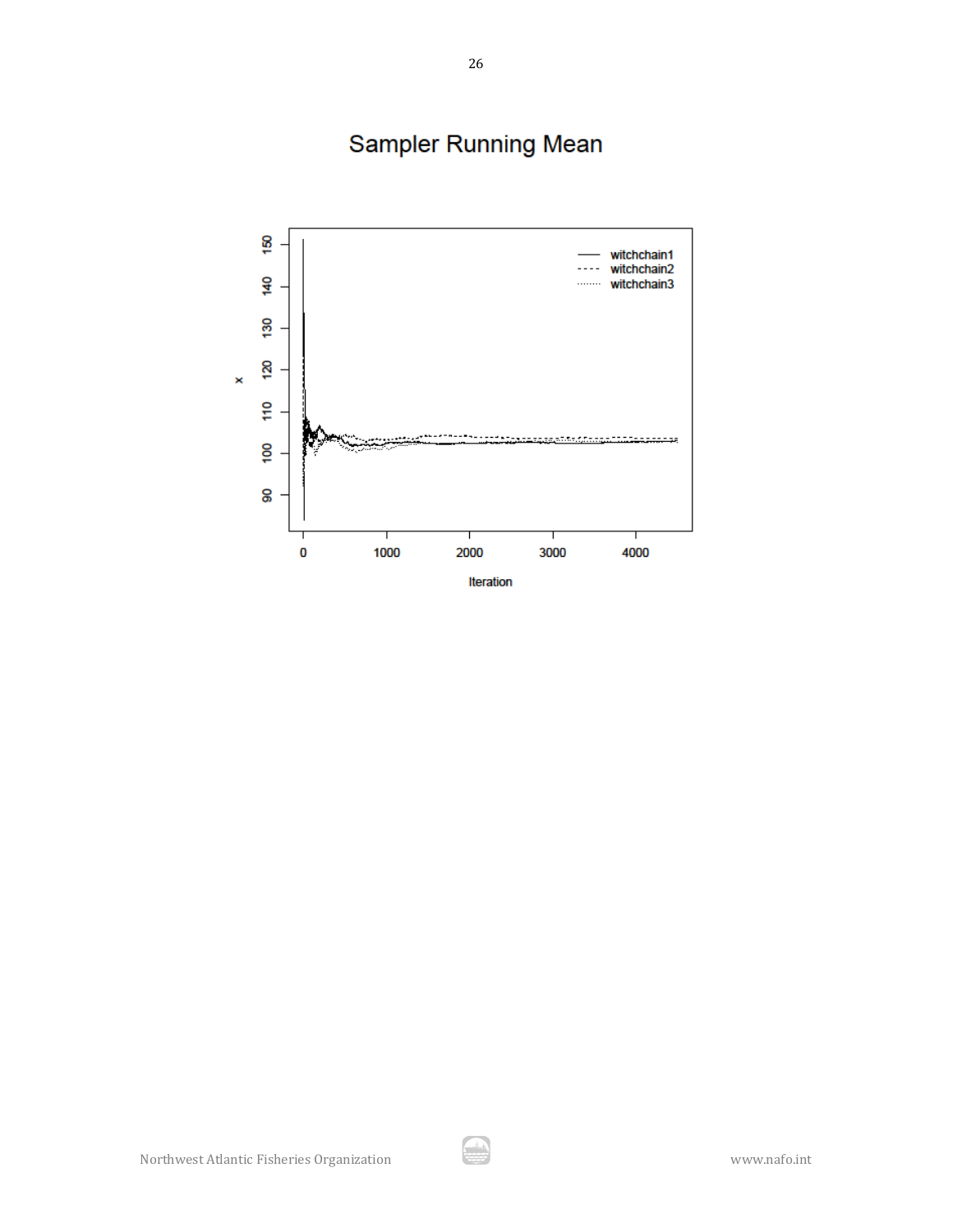Sampler Running Mean

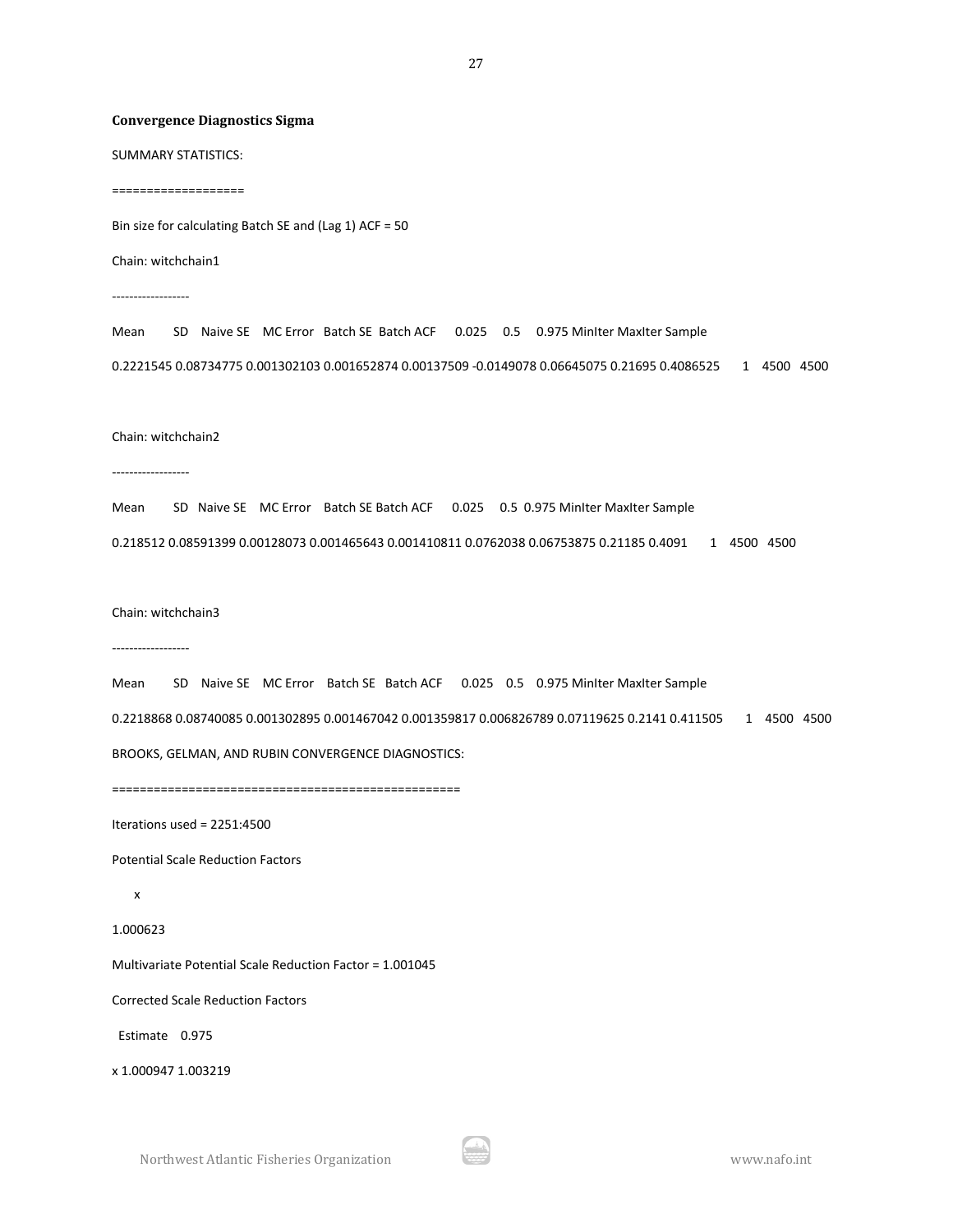#### **Convergence Diagnostics Sigma**

SUMMARY STATISTICS:

===================

Bin size for calculating Batch SE and (Lag 1) ACF = 50

Chain: witchchain1

------------------

Mean SD Naive SE MC Error Batch SE Batch ACF 0.025 0.5 0.975 MinIter MaxIter Sample 0.2221545 0.08734775 0.001302103 0.001652874 0.00137509 -0.0149078 0.06645075 0.21695 0.4086525 1 4500 4500

#### Chain: witchchain2

------------------

Mean SD Naive SE MC Error Batch SE Batch ACF 0.025 0.5 0.975 MinIter MaxIter Sample

0.218512 0.08591399 0.00128073 0.001465643 0.001410811 0.0762038 0.06753875 0.21185 0.4091 1 4500 4500

Chain: witchchain3

------------------

```
Mean SD Naive SE MC Error Batch SE Batch ACF 0.025 0.5 0.975 MinIter MaxIter Sample
0.2218868 0.08740085 0.001302895 0.001467042 0.001359817 0.006826789 0.07119625 0.2141 0.411505 1 4500 4500
BROOKS, GELMAN, AND RUBIN CONVERGENCE DIAGNOSTICS:
```

```
==================================================
```
Iterations used = 2251:4500

Potential Scale Reduction Factors

x

1.000623

Multivariate Potential Scale Reduction Factor = 1.001045

Corrected Scale Reduction Factors

Estimate 0.975

x 1.000947 1.003219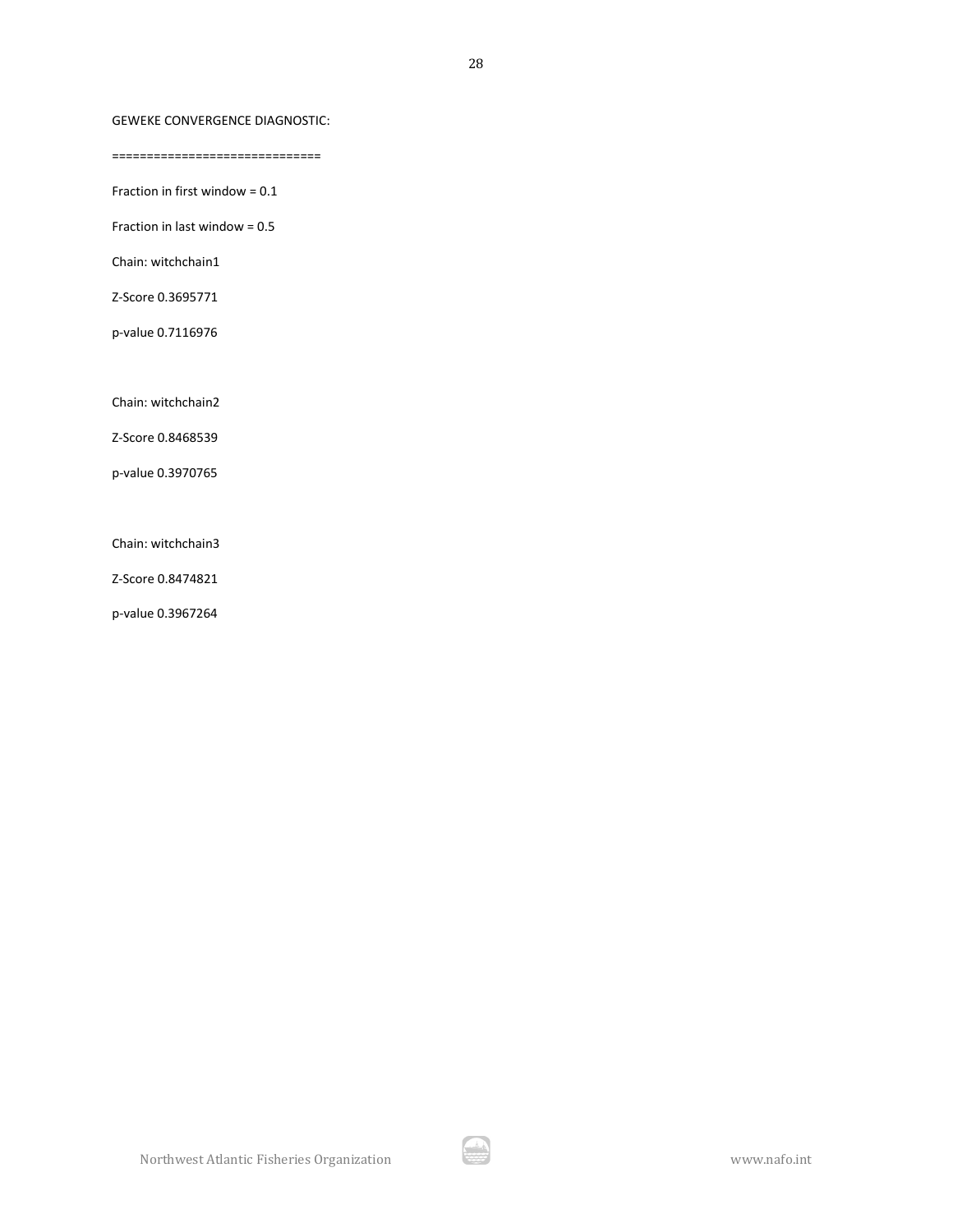### GEWEKE CONVERGENCE DIAGNOSTIC:

==============================

Fraction in first window = 0.1

Fraction in last window = 0.5

Chain: witchchain1

Z-Score 0.3695771

p-value 0.7116976

Chain: witchchain2

Z-Score 0.8468539

p-value 0.3970765

Chain: witchchain3

Z-Score 0.8474821

p-value 0.3967264

A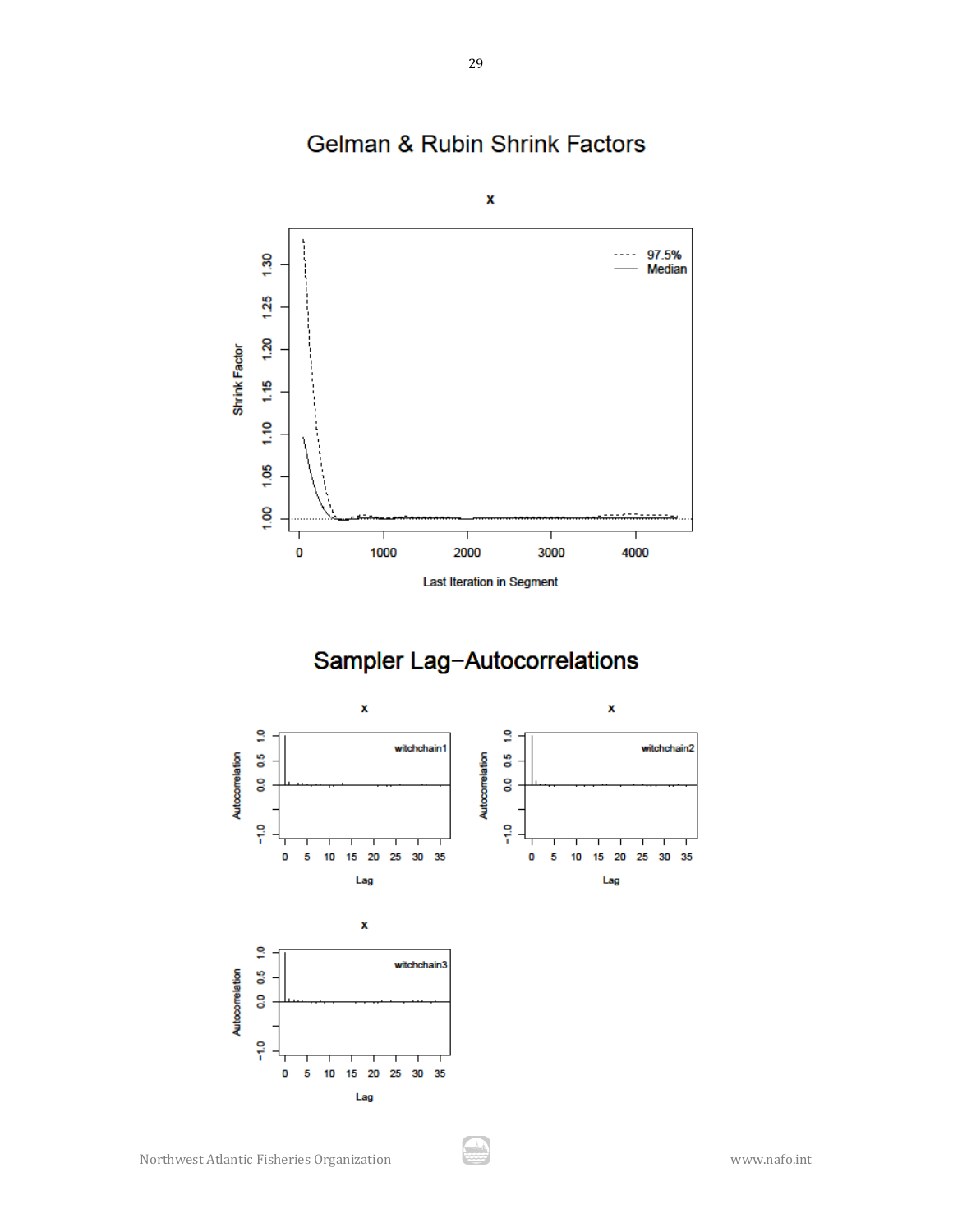

Gelman & Rubin Shrink Factors

Last Iteration in Segment

# Sampler Lag-Autocorrelations



يش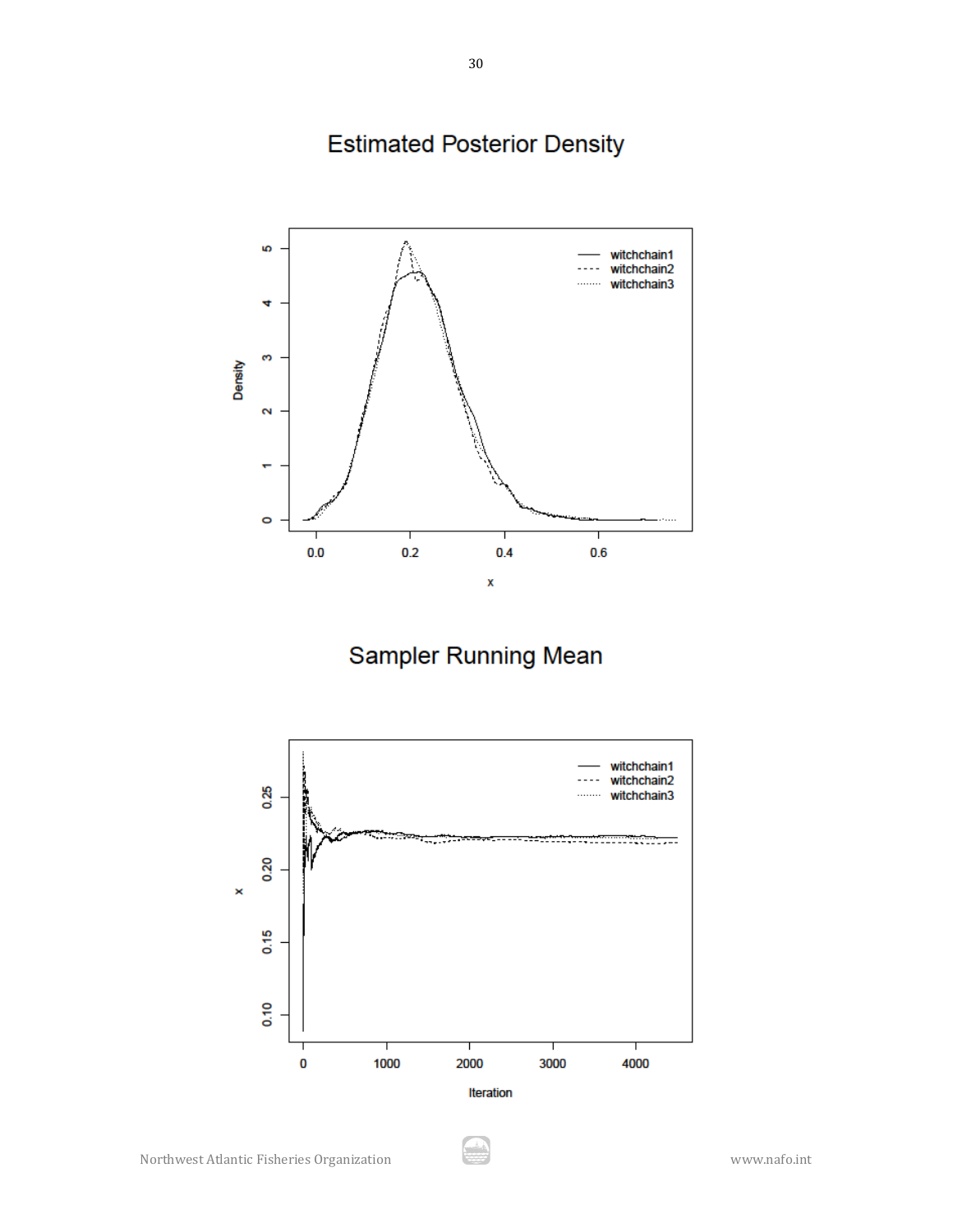**Estimated Posterior Density** 



Sampler Running Mean



Å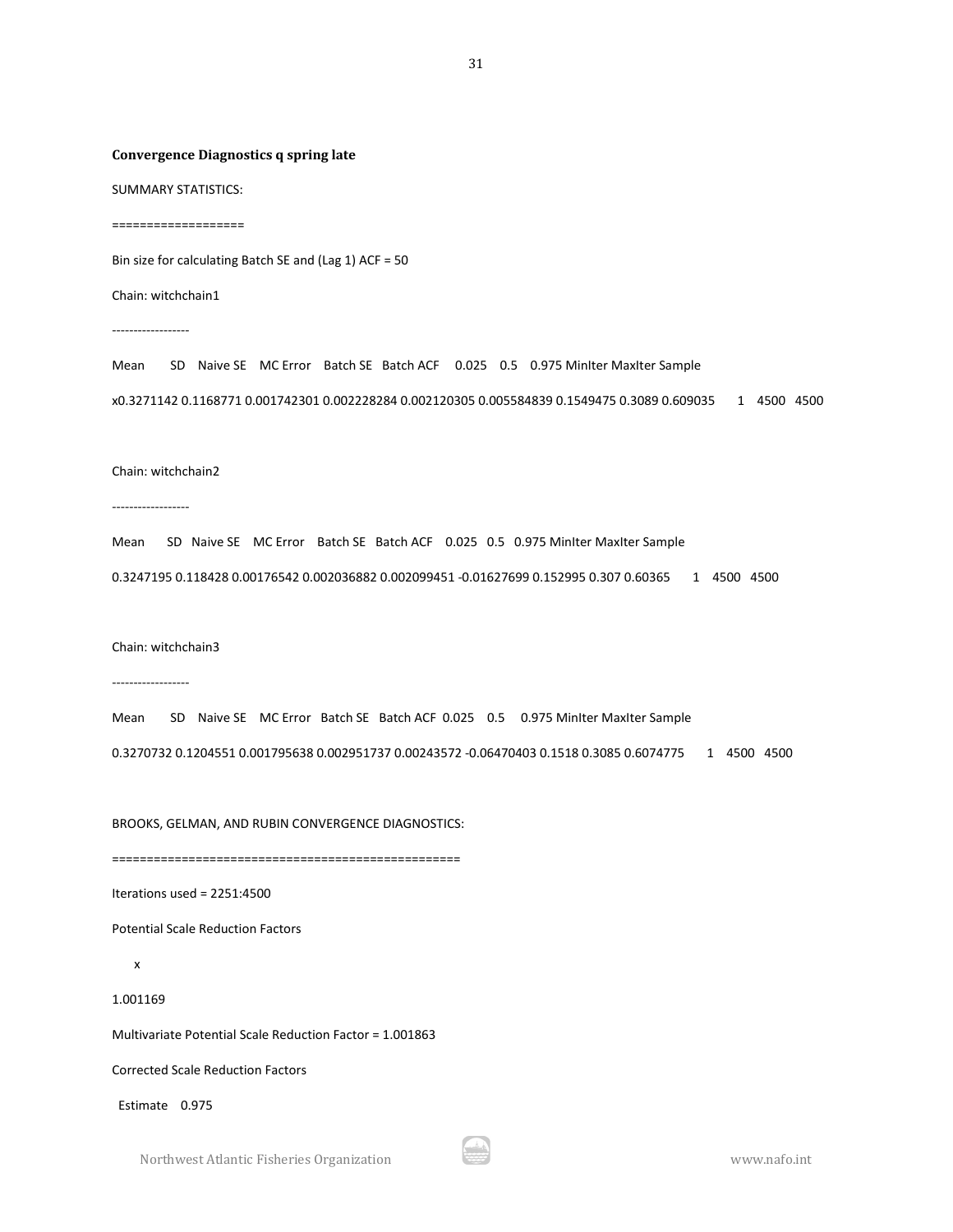#### **Convergence Diagnostics q spring late**

SUMMARY STATISTICS:

===================

Bin size for calculating Batch SE and (Lag 1) ACF = 50

Chain: witchchain1

------------------

Mean SD Naive SE MC Error Batch SE Batch ACF 0.025 0.5 0.975 MinIter MaxIter Sample x0.3271142 0.1168771 0.001742301 0.002228284 0.002120305 0.005584839 0.1549475 0.3089 0.609035 1 4500 4500

#### Chain: witchchain2

------------------

Mean SD Naive SE MC Error Batch SE Batch ACF 0.025 0.5 0.975 MinIter MaxIter Sample

0.3247195 0.118428 0.00176542 0.002036882 0.002099451 -0.01627699 0.152995 0.307 0.60365 1 4500 4500

Chain: witchchain3

------------------

Mean SD Naive SE MC Error Batch SE Batch ACF 0.025 0.5 0.975 MinIter MaxIter Sample

0.3270732 0.1204551 0.001795638 0.002951737 0.00243572 -0.06470403 0.1518 0.3085 0.6074775 1 4500 4500

BROOKS, GELMAN, AND RUBIN CONVERGENCE DIAGNOSTICS:

==================================================

Iterations used = 2251:4500

Potential Scale Reduction Factors

x

1.001169

Multivariate Potential Scale Reduction Factor = 1.001863

Corrected Scale Reduction Factors

Estimate 0.975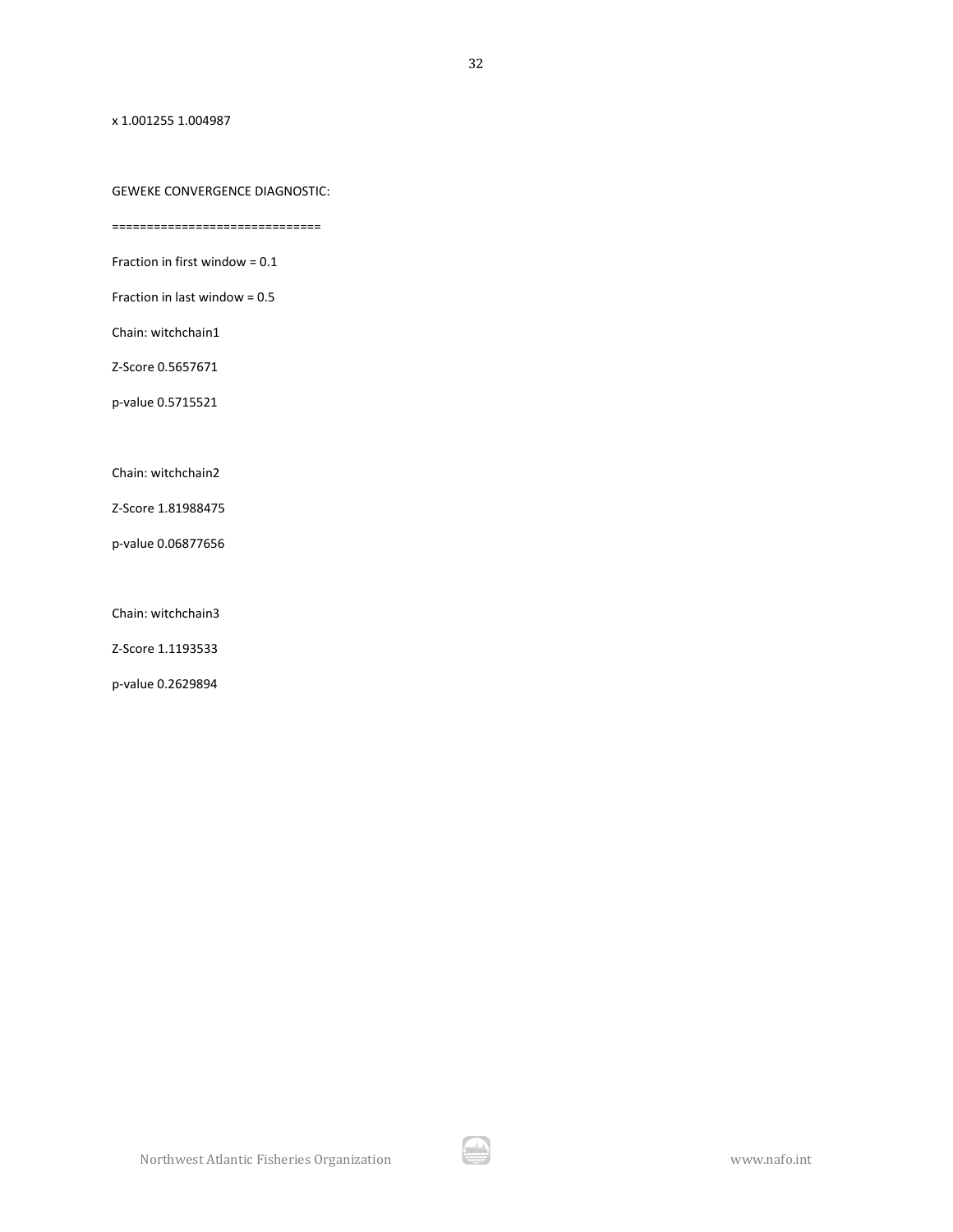x 1.001255 1.004987

### GEWEKE CONVERGENCE DIAGNOSTIC:

==============================

Fraction in first window = 0.1

Fraction in last window = 0.5

Chain: witchchain1

Z-Score 0.5657671

p-value 0.5715521

Chain: witchchain2

Z-Score 1.81988475

p-value 0.06877656

Chain: witchchain3

Z-Score 1.1193533

p-value 0.2629894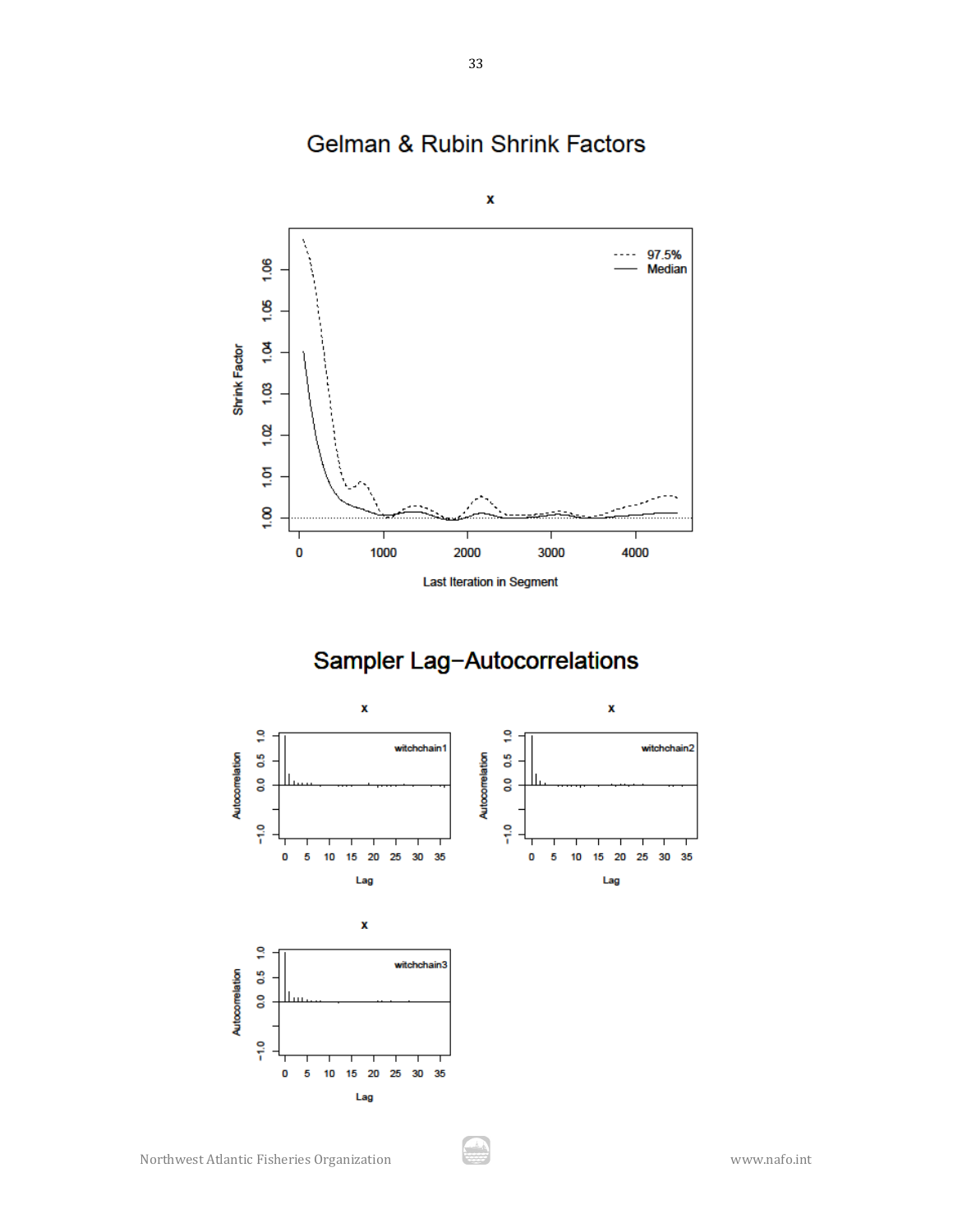

# Gelman & Rubin Shrink Factors

Sampler Lag-Autocorrelations

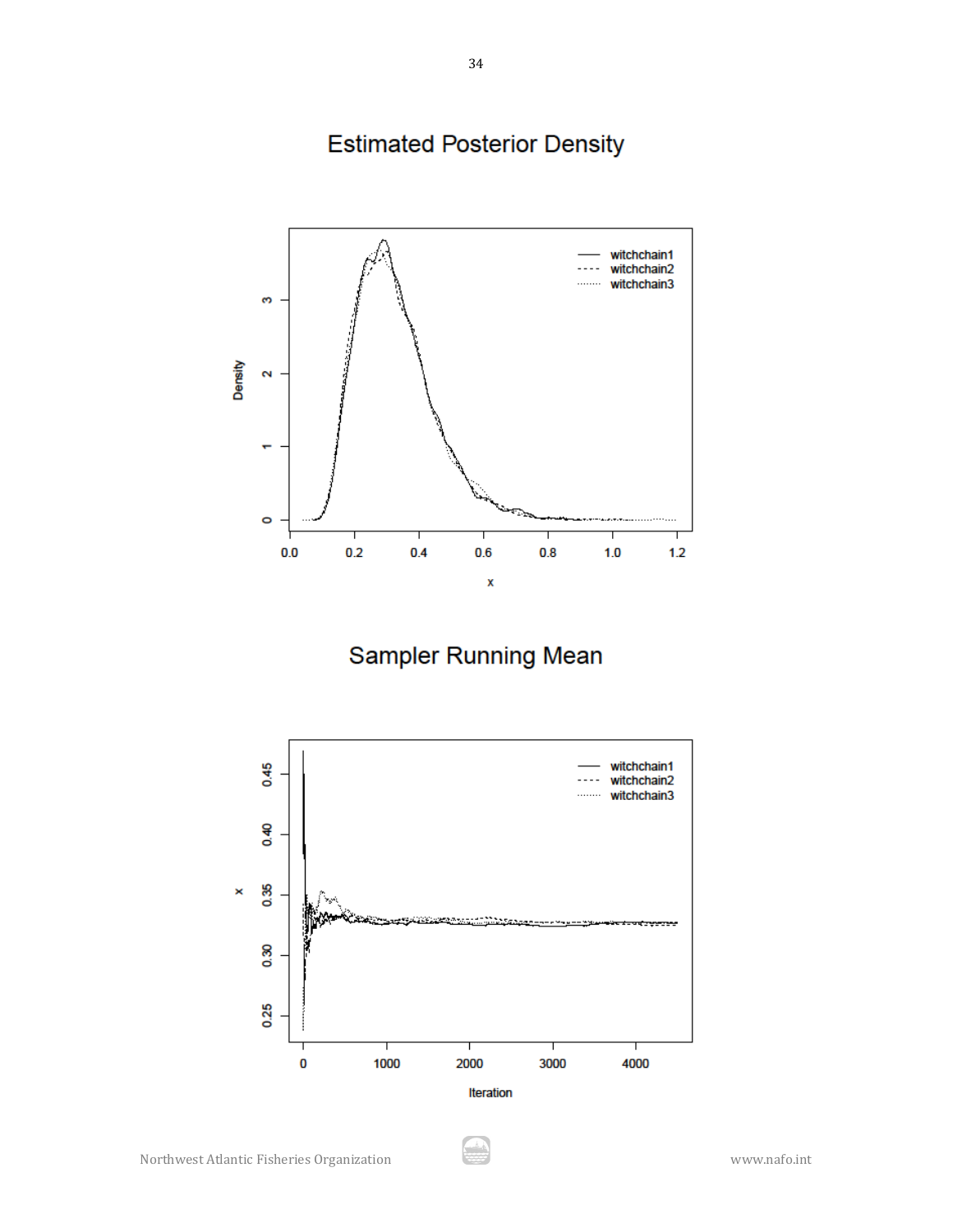**Estimated Posterior Density** 



Sampler Running Mean



Å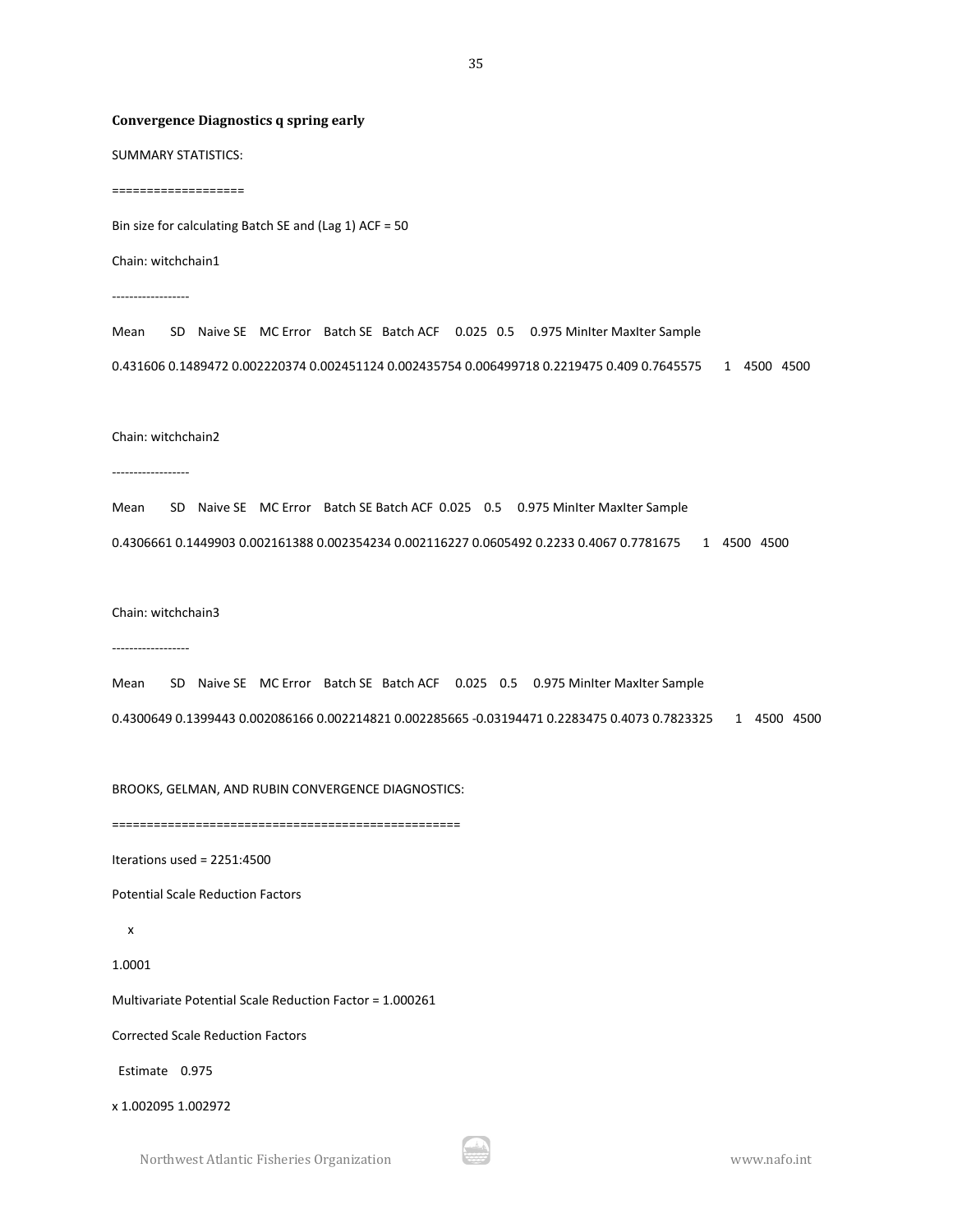#### **Convergence Diagnostics q spring early**

SUMMARY STATISTICS:

===================

Bin size for calculating Batch SE and (Lag 1) ACF = 50

Chain: witchchain1

------------------

Mean SD Naive SE MC Error Batch SE Batch ACF 0.025 0.5 0.975 MinIter MaxIter Sample 0.431606 0.1489472 0.002220374 0.002451124 0.002435754 0.006499718 0.2219475 0.409 0.7645575 1 4500 4500

Chain: witchchain2

------------------

Mean SD Naive SE MC Error Batch SE Batch ACF 0.025 0.5 0.975 MinIter MaxIter Sample

0.4306661 0.1449903 0.002161388 0.002354234 0.002116227 0.0605492 0.2233 0.4067 0.7781675 1 4500 4500

Chain: witchchain3

------------------

Mean SD Naive SE MC Error Batch SE Batch ACF 0.025 0.5 0.975 MinIter MaxIter Sample 0.4300649 0.1399443 0.002086166 0.002214821 0.002285665 -0.03194471 0.2283475 0.4073 0.7823325 1 4500 4500

BROOKS, GELMAN, AND RUBIN CONVERGENCE DIAGNOSTICS:

==================================================

Iterations used = 2251:4500

Potential Scale Reduction Factors

x

1.0001

Multivariate Potential Scale Reduction Factor = 1.000261

Corrected Scale Reduction Factors

Estimate 0.975

x 1.002095 1.002972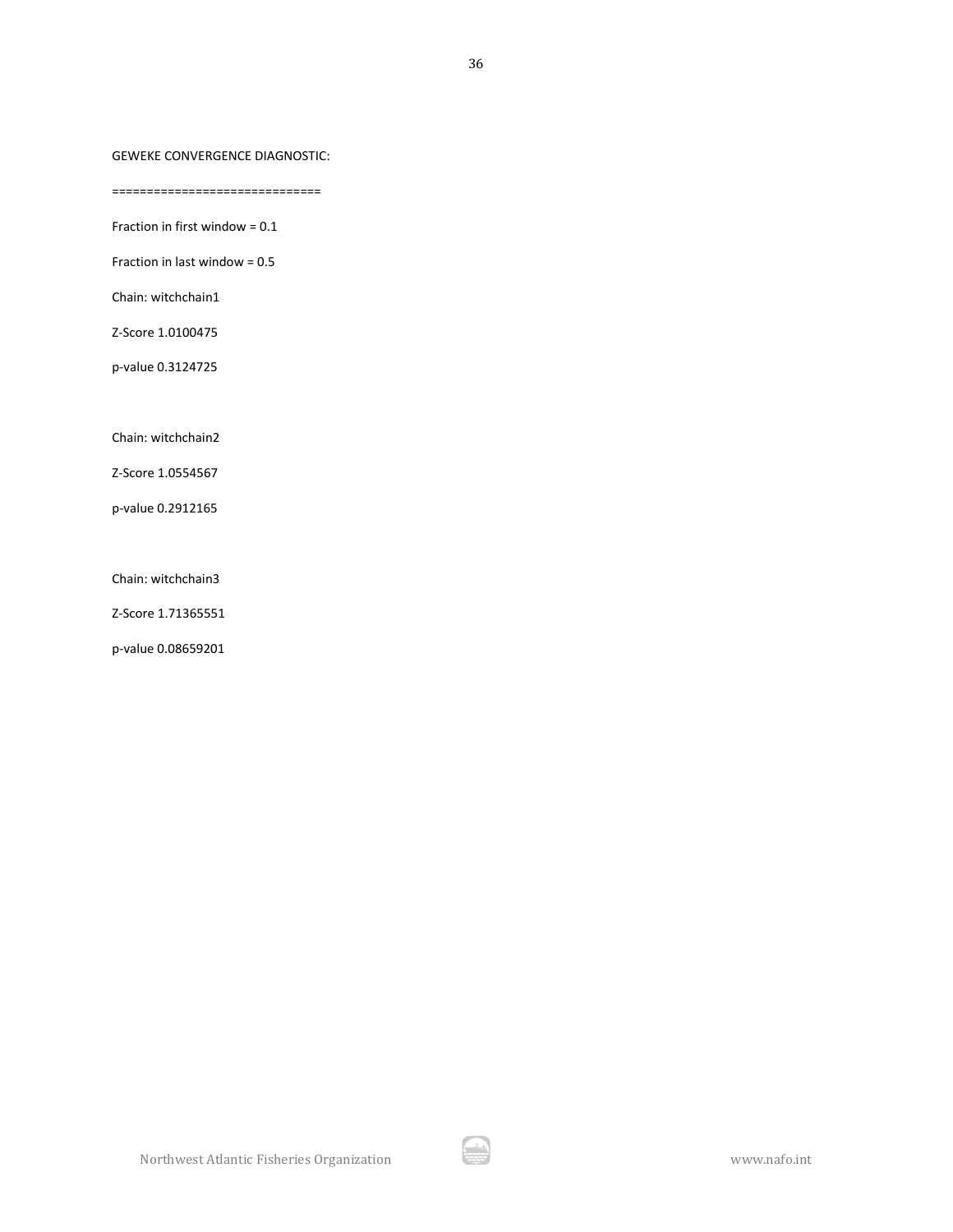#### GEWEKE CONVERGENCE DIAGNOSTIC:

==============================

Fraction in first window = 0.1

Fraction in last window = 0.5

Chain: witchchain1

Z-Score 1.0100475

p-value 0.3124725

Chain: witchchain2

Z-Score 1.0554567

p-value 0.2912165

Chain: witchchain3

Z-Score 1.71365551

p-value 0.08659201

A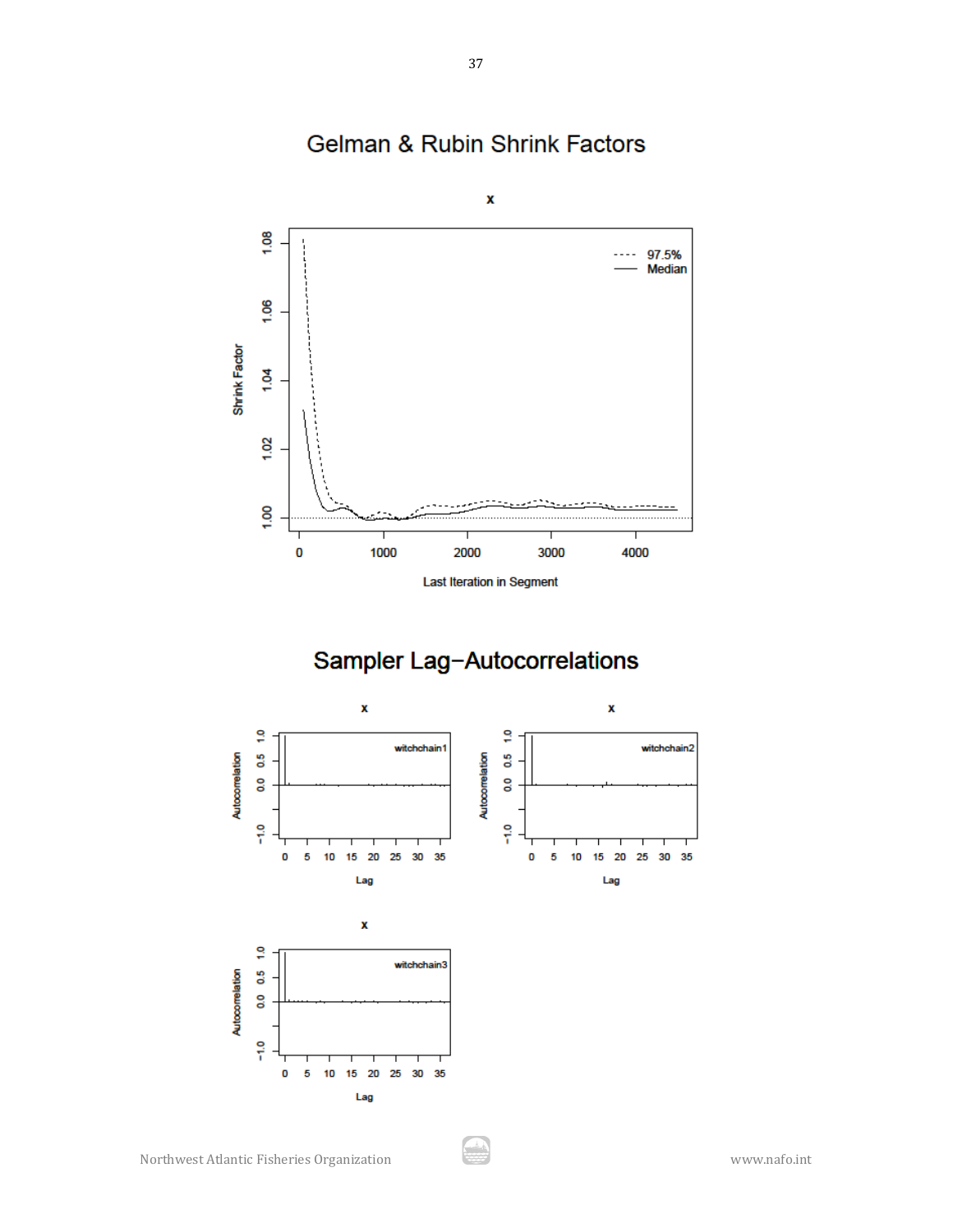

# Gelman & Rubin Shrink Factors

Sampler Lag-Autocorrelations

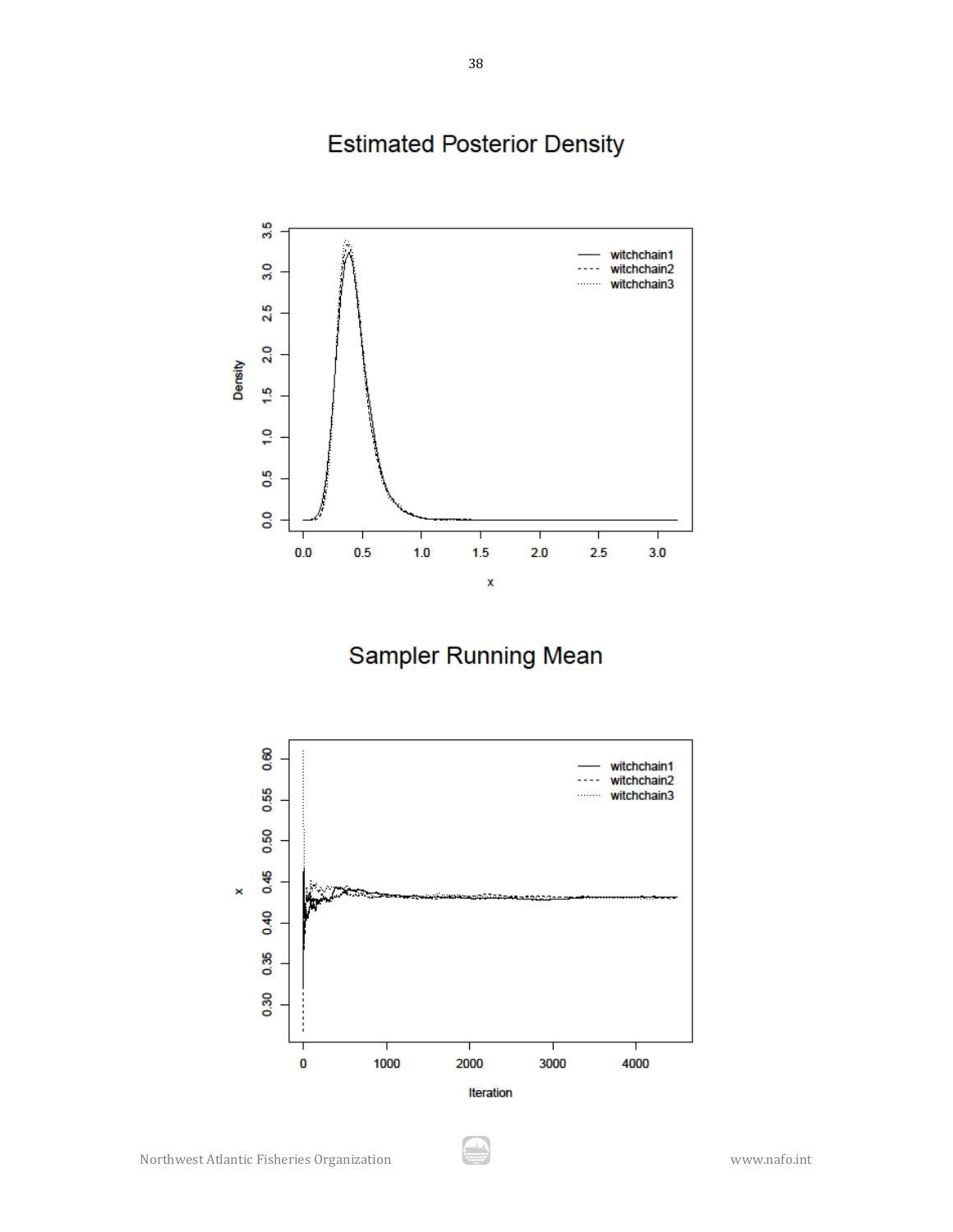# **Estimated Posterior Density**



Sampler Running Mean



يش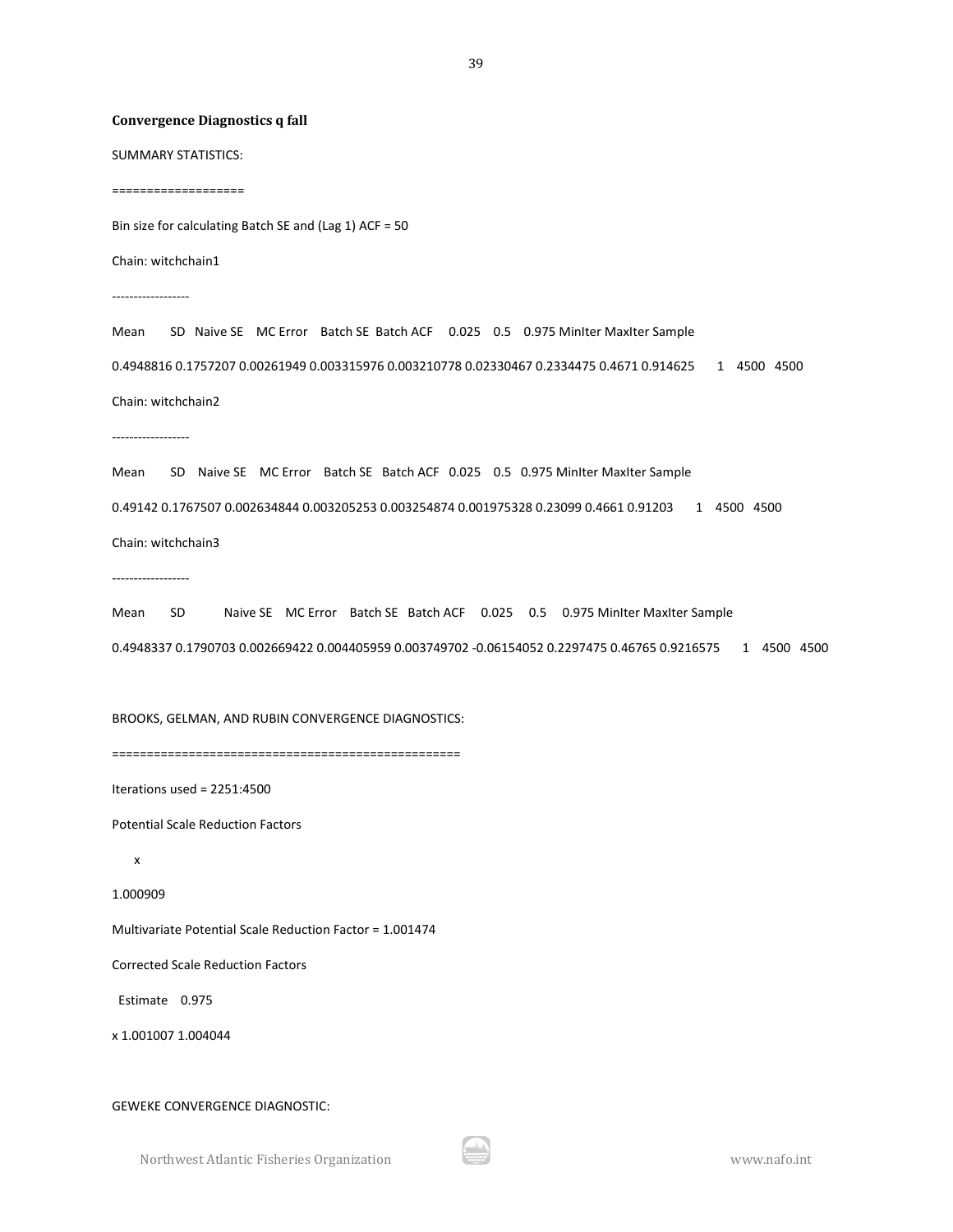#### **Convergence Diagnostics q fall**

SUMMARY STATISTICS:

===================

Bin size for calculating Batch SE and (Lag 1) ACF = 50

Chain: witchchain1

------------------

Mean SD Naive SE MC Error Batch SE Batch ACF 0.025 0.5 0.975 MinIter MaxIter Sample 0.4948816 0.1757207 0.00261949 0.003315976 0.003210778 0.02330467 0.2334475 0.4671 0.914625 1 4500 4500 Chain: witchchain2

------------------

Mean SD Naive SE MC Error Batch SE Batch ACF 0.025 0.5 0.975 MinIter MaxIter Sample 0.49142 0.1767507 0.002634844 0.003205253 0.003254874 0.001975328 0.23099 0.4661 0.91203 1 4500 4500 Chain: witchchain3

------------------

Mean SD Naive SE MC Error Batch SE Batch ACF 0.025 0.5 0.975 MinIter MaxIter Sample 0.4948337 0.1790703 0.002669422 0.004405959 0.003749702 -0.06154052 0.2297475 0.46765 0.9216575 1 4500 4500

BROOKS, GELMAN, AND RUBIN CONVERGENCE DIAGNOSTICS:

==================================================

Iterations used = 2251:4500

Potential Scale Reduction Factors

x

1.000909

Multivariate Potential Scale Reduction Factor = 1.001474

Corrected Scale Reduction Factors

Estimate 0.975

x 1.001007 1.004044

GEWEKE CONVERGENCE DIAGNOSTIC:

Northwest Atlantic Fisheries Organization www.nafo.int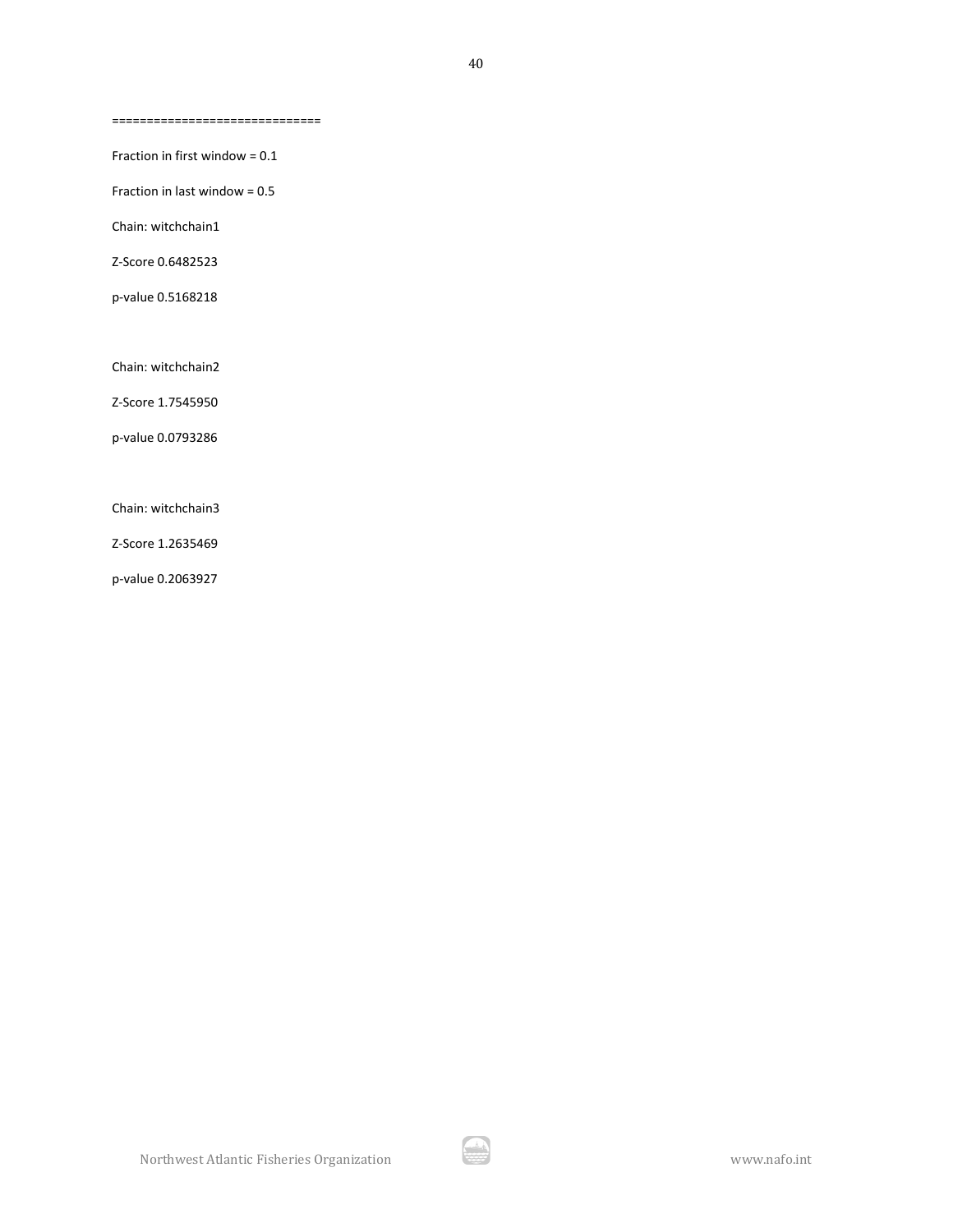==============================

Fraction in first window = 0.1

Fraction in last window = 0.5

Chain: witchchain1

Z-Score 0.6482523

p-value 0.5168218

Chain: witchchain2

Z-Score 1.7545950

p-value 0.0793286

Chain: witchchain3

Z-Score 1.2635469

p-value 0.2063927

ارائی<br>محمد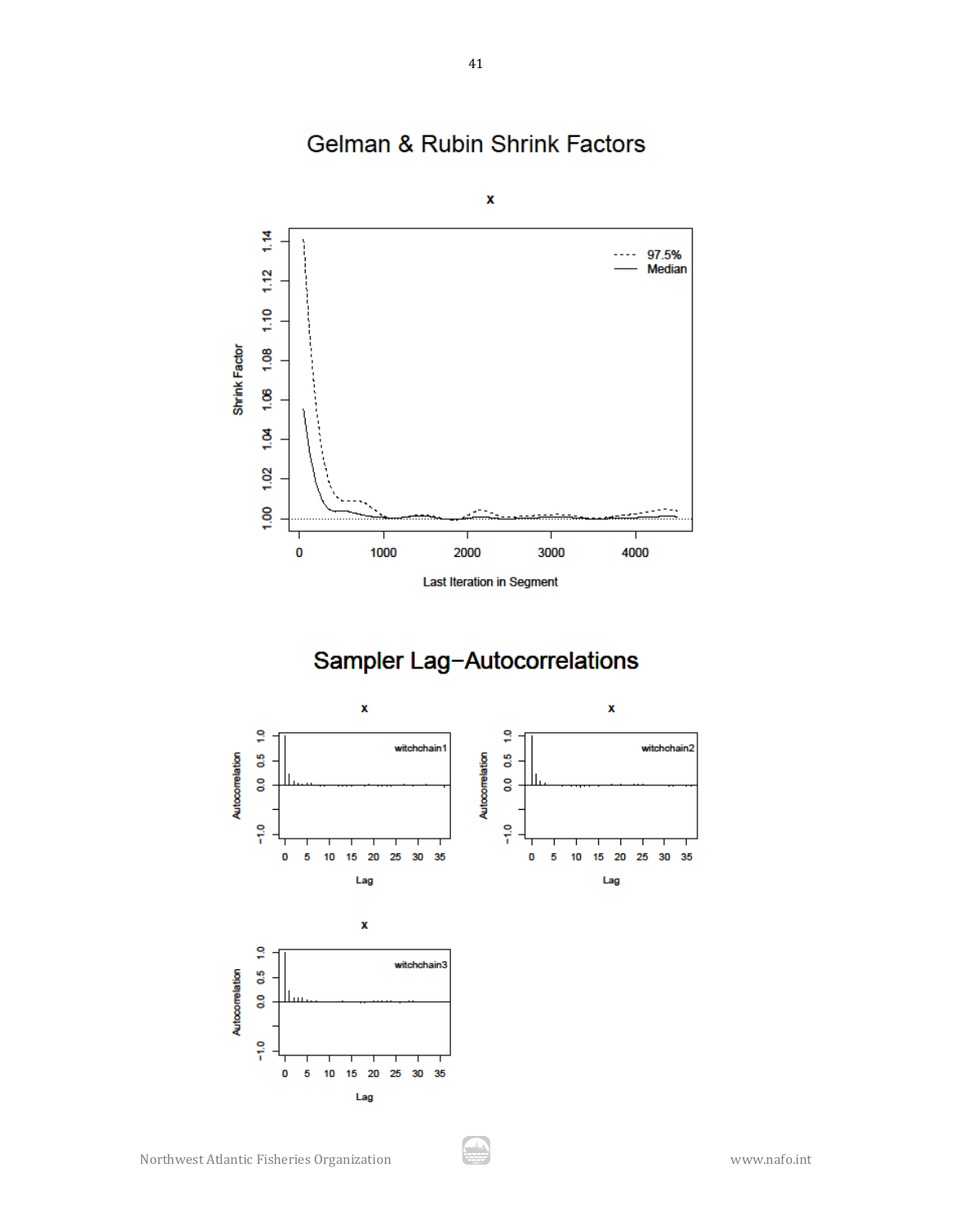

Gelman & Rubin Shrink Factors

# Sampler Lag-Autocorrelations